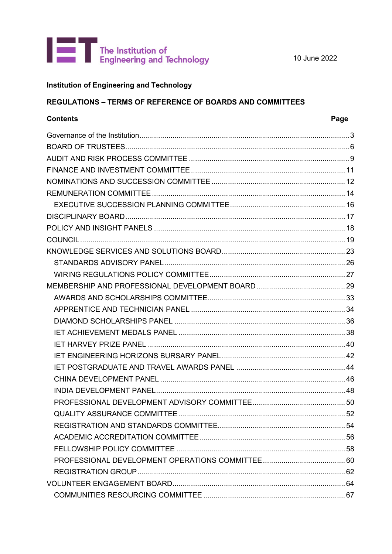

10 June 2022

# **Institution of Engineering and Technology**

# **REGULATIONS - TERMS OF REFERENCE OF BOARDS AND COMMITTEES**

# **Contents**

# Page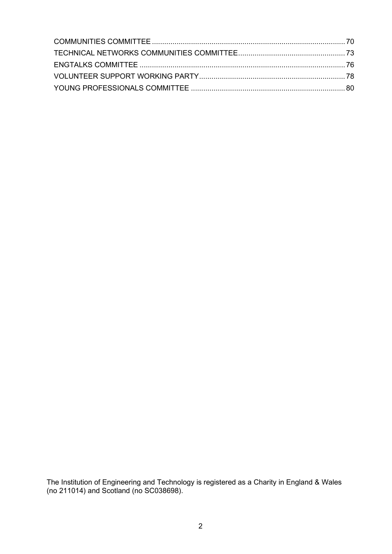The Institution of Engineering and Technology is registered as a Charity in England & Wales (no 211014) and Scotland (no SC038698).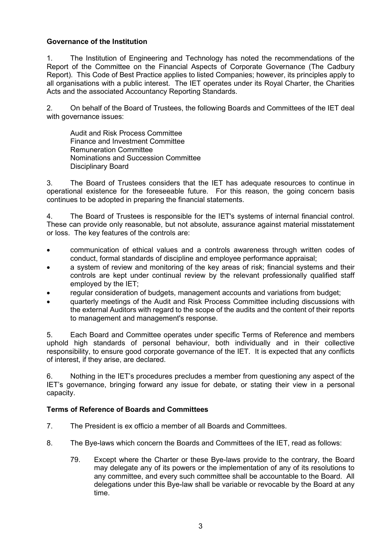# <span id="page-2-0"></span>**Governance of the Institution**

1. The Institution of Engineering and Technology has noted the recommendations of the Report of the Committee on the Financial Aspects of Corporate Governance (The Cadbury Report). This Code of Best Practice applies to listed Companies; however, its principles apply to all organisations with a public interest. The IET operates under its Royal Charter, the Charities Acts and the associated Accountancy Reporting Standards.

2. On behalf of the Board of Trustees, the following Boards and Committees of the IET deal with governance issues:

Audit and Risk Process Committee Finance and Investment Committee Remuneration Committee Nominations and Succession Committee Disciplinary Board

3. The Board of Trustees considers that the IET has adequate resources to continue in operational existence for the foreseeable future. For this reason, the going concern basis continues to be adopted in preparing the financial statements.

4. The Board of Trustees is responsible for the IET's systems of internal financial control. These can provide only reasonable, but not absolute, assurance against material misstatement or loss. The key features of the controls are:

- communication of ethical values and a controls awareness through written codes of conduct, formal standards of discipline and employee performance appraisal;
- a system of review and monitoring of the key areas of risk; financial systems and their controls are kept under continual review by the relevant professionally qualified staff employed by the IET;
- regular consideration of budgets, management accounts and variations from budget;
- quarterly meetings of the Audit and Risk Process Committee including discussions with the external Auditors with regard to the scope of the audits and the content of their reports to management and management's response.

5. Each Board and Committee operates under specific Terms of Reference and members uphold high standards of personal behaviour, both individually and in their collective responsibility, to ensure good corporate governance of the IET. It is expected that any conflicts of interest, if they arise, are declared.

6. Nothing in the IET's procedures precludes a member from questioning any aspect of the IET's governance, bringing forward any issue for debate, or stating their view in a personal capacity.

# **Terms of Reference of Boards and Committees**

- 7. The President is ex officio a member of all Boards and Committees.
- 8. The Bye-laws which concern the Boards and Committees of the IET, read as follows:
	- 79. Except where the Charter or these Bye-laws provide to the contrary, the Board may delegate any of its powers or the implementation of any of its resolutions to any committee, and every such committee shall be accountable to the Board. All delegations under this Bye-law shall be variable or revocable by the Board at any time.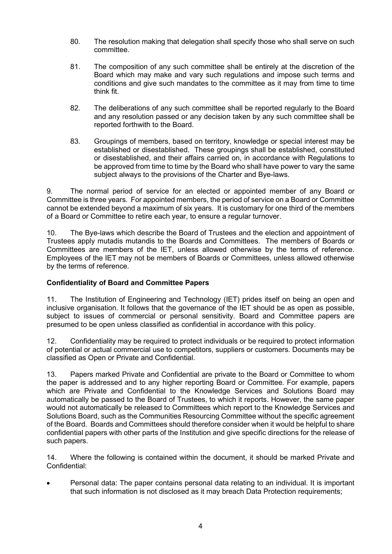- 80. The resolution making that delegation shall specify those who shall serve on such committee.
- 81. The composition of any such committee shall be entirely at the discretion of the Board which may make and vary such regulations and impose such terms and conditions and give such mandates to the committee as it may from time to time think fit.
- 82. The deliberations of any such committee shall be reported regularly to the Board and any resolution passed or any decision taken by any such committee shall be reported forthwith to the Board.
- 83. Groupings of members, based on territory, knowledge or special interest may be established or disestablished. These groupings shall be established, constituted or disestablished, and their affairs carried on, in accordance with Regulations to be approved from time to time by the Board who shall have power to vary the same subject always to the provisions of the Charter and Bye-laws.

9. The normal period of service for an elected or appointed member of any Board or Committee is three years. For appointed members, the period of service on a Board or Committee cannot be extended beyond a maximum of six years. It is customary for one third of the members of a Board or Committee to retire each year, to ensure a regular turnover.

10. The Bye-laws which describe the Board of Trustees and the election and appointment of Trustees apply mutadis mutandis to the Boards and Committees. The members of Boards or Committees are members of the IET, unless allowed otherwise by the terms of reference. Employees of the IET may not be members of Boards or Committees, unless allowed otherwise by the terms of reference.

# **Confidentiality of Board and Committee Papers**

11. The Institution of Engineering and Technology (IET) prides itself on being an open and inclusive organisation. It follows that the governance of the IET should be as open as possible, subject to issues of commercial or personal sensitivity. Board and Committee papers are presumed to be open unless classified as confidential in accordance with this policy.

12. Confidentiality may be required to protect individuals or be required to protect information of potential or actual commercial use to competitors, suppliers or customers. Documents may be classified as Open or Private and Confidential.

13. Papers marked Private and Confidential are private to the Board or Committee to whom the paper is addressed and to any higher reporting Board or Committee. For example, papers which are Private and Confidential to the Knowledge Services and Solutions Board may automatically be passed to the Board of Trustees, to which it reports. However, the same paper would not automatically be released to Committees which report to the Knowledge Services and Solutions Board, such as the Communities Resourcing Committee without the specific agreement of the Board. Boards and Committees should therefore consider when it would be helpful to share confidential papers with other parts of the Institution and give specific directions for the release of such papers.

14. Where the following is contained within the document, it should be marked Private and Confidential:

• Personal data: The paper contains personal data relating to an individual. It is important that such information is not disclosed as it may breach Data Protection requirements;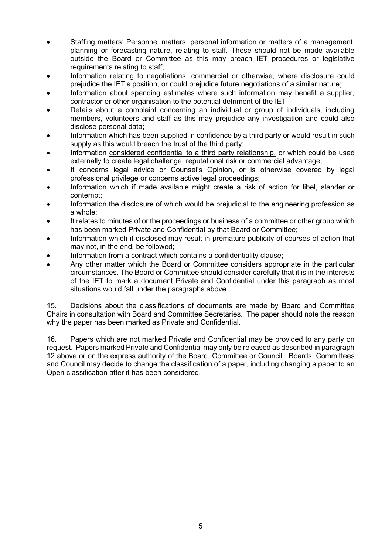- Staffing matters: Personnel matters, personal information or matters of a management, planning or forecasting nature, relating to staff. These should not be made available outside the Board or Committee as this may breach IET procedures or legislative requirements relating to staff;
- Information relating to negotiations, commercial or otherwise, where disclosure could prejudice the IET's position, or could prejudice future negotiations of a similar nature;
- Information about spending estimates where such information may benefit a supplier, contractor or other organisation to the potential detriment of the IET;
- Details about a complaint concerning an individual or group of individuals, including members, volunteers and staff as this may prejudice any investigation and could also disclose personal data;
- Information which has been supplied in confidence by a third party or would result in such supply as this would breach the trust of the third party;
- Information considered confidential to a third party relationship, or which could be used externally to create legal challenge, reputational risk or commercial advantage;
- It concerns legal advice or Counsel's Opinion, or is otherwise covered by legal professional privilege or concerns active legal proceedings;
- Information which if made available might create a risk of action for libel, slander or contempt;
- Information the disclosure of which would be prejudicial to the engineering profession as a whole;
- It relates to minutes of or the proceedings or business of a committee or other group which has been marked Private and Confidential by that Board or Committee;
- Information which if disclosed may result in premature publicity of courses of action that may not, in the end, be followed;
- Information from a contract which contains a confidentiality clause;
- Any other matter which the Board or Committee considers appropriate in the particular circumstances. The Board or Committee should consider carefully that it is in the interests of the IET to mark a document Private and Confidential under this paragraph as most situations would fall under the paragraphs above.

15. Decisions about the classifications of documents are made by Board and Committee Chairs in consultation with Board and Committee Secretaries. The paper should note the reason why the paper has been marked as Private and Confidential.

16. Papers which are not marked Private and Confidential may be provided to any party on request. Papers marked Private and Confidential may only be released as described in paragraph 12 above or on the express authority of the Board, Committee or Council. Boards, Committees and Council may decide to change the classification of a paper, including changing a paper to an Open classification after it has been considered.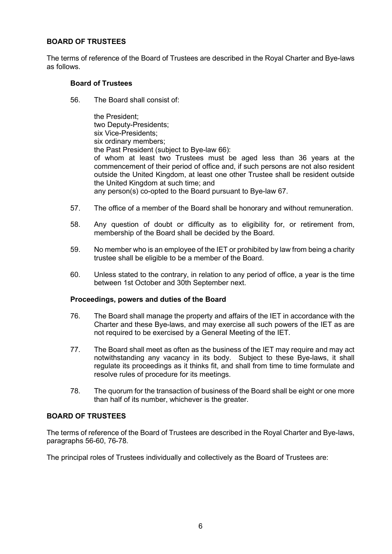# <span id="page-5-0"></span>**BOARD OF TRUSTEES**

The terms of reference of the Board of Trustees are described in the Royal Charter and Bye-laws as follows.

# **Board of Trustees**

56. The Board shall consist of:

the President; two Deputy-Presidents; six Vice-Presidents; six ordinary members; the Past President (subject to Bye-law 66): of whom at least two Trustees must be aged less than 36 years at the commencement of their period of office and, if such persons are not also resident outside the United Kingdom, at least one other Trustee shall be resident outside the United Kingdom at such time; and any person(s) co-opted to the Board pursuant to Bye-law 67.

- 57. The office of a member of the Board shall be honorary and without remuneration.
- 58. Any question of doubt or difficulty as to eligibility for, or retirement from, membership of the Board shall be decided by the Board.
- 59. No member who is an employee of the IET or prohibited by law from being a charity trustee shall be eligible to be a member of the Board.
- 60. Unless stated to the contrary, in relation to any period of office, a year is the time between 1st October and 30th September next.

# **Proceedings, powers and duties of the Board**

- 76. The Board shall manage the property and affairs of the IET in accordance with the Charter and these Bye-laws, and may exercise all such powers of the IET as are not required to be exercised by a General Meeting of the IET.
- 77. The Board shall meet as often as the business of the IET may require and may act notwithstanding any vacancy in its body. Subject to these Bye-laws, it shall regulate its proceedings as it thinks fit, and shall from time to time formulate and resolve rules of procedure for its meetings.
- 78. The quorum for the transaction of business of the Board shall be eight or one more than half of its number, whichever is the greater.

# **BOARD OF TRUSTEES**

The terms of reference of the Board of Trustees are described in the Royal Charter and Bye-laws, paragraphs 56-60, 76-78.

The principal roles of Trustees individually and collectively as the Board of Trustees are: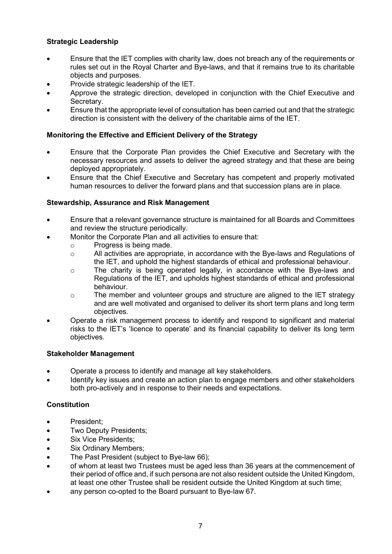# **Strategic Leadership**

- Ensure that the IET complies with charity law, does not breach any of the requirements or rules set out in the Royal Charter and Bye-laws, and that it remains true to its charitable objects and purposes.
- Provide strategic leadership of the IET.
- Approve the strategic direction, developed in conjunction with the Chief Executive and Secretary.
- Ensure that the appropriate level of consultation has been carried out and that the strategic direction is consistent with the delivery of the charitable aims of the IET.

# **Monitoring the Effective and Efficient Delivery of the Strategy**

- Ensure that the Corporate Plan provides the Chief Executive and Secretary with the necessary resources and assets to deliver the agreed strategy and that these are being deployed appropriately.
- Ensure that the Chief Executive and Secretary has competent and properly motivated human resources to deliver the forward plans and that succession plans are in place.

# **Stewardship, Assurance and Risk Management**

- Ensure that a relevant governance structure is maintained for all Boards and Committees and review the structure periodically.
- Monitor the Corporate Plan and all activities to ensure that:
	- o Progress is being made.<br>
	o All activities are appropri
	- All activities are appropriate, in accordance with the Bye-laws and Regulations of the IET, and uphold the highest standards of ethical and professional behaviour.
	- o The charity is being operated legally, in accordance with the Bye-laws and Regulations of the IET, and upholds highest standards of ethical and professional behaviour.
	- $\circ$  The member and volunteer groups and structure are aligned to the IET strategy and are well motivated and organised to deliver its short term plans and long term objectives.
- Operate a risk management process to identify and respond to significant and material risks to the IET's 'licence to operate' and its financial capability to deliver its long term objectives.

# **Stakeholder Management**

- Operate a process to identify and manage all key stakeholders.
- Identify key issues and create an action plan to engage members and other stakeholders both pro-actively and in response to their needs and expectations.

# **Constitution**

- President;
- Two Deputy Presidents;
- Six Vice Presidents;
- Six Ordinary Members;
- The Past President (subject to Bye-law 66);
- of whom at least two Trustees must be aged less than 36 years at the commencement of their period of office and, if such persona are not also resident outside the United Kingdom, at least one other Trustee shall be resident outside the United Kingdom at such time;
- any person co-opted to the Board pursuant to Bye-law 67.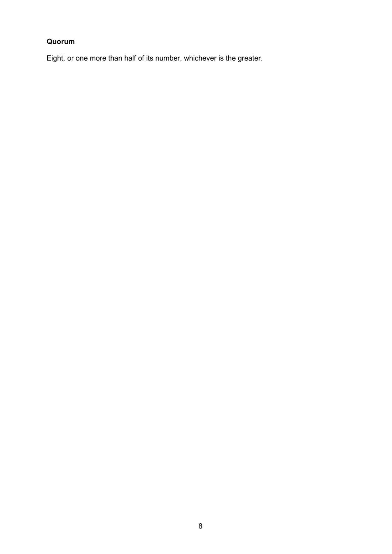# **Quorum**

Eight, or one more than half of its number, whichever is the greater.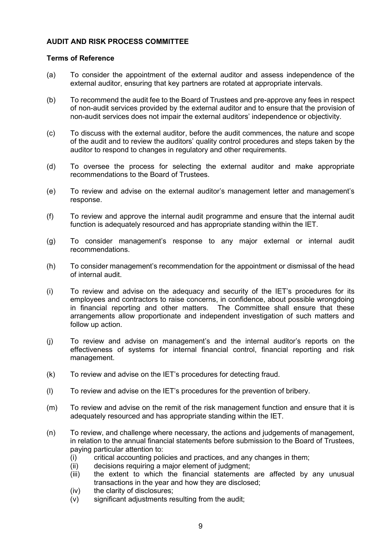# <span id="page-8-0"></span>**AUDIT AND RISK PROCESS COMMITTEE**

## **Terms of Reference**

- (a) To consider the appointment of the external auditor and assess independence of the external auditor, ensuring that key partners are rotated at appropriate intervals.
- (b) To recommend the audit fee to the Board of Trustees and pre-approve any fees in respect of non-audit services provided by the external auditor and to ensure that the provision of non-audit services does not impair the external auditors' independence or objectivity.
- (c) To discuss with the external auditor, before the audit commences, the nature and scope of the audit and to review the auditors' quality control procedures and steps taken by the auditor to respond to changes in regulatory and other requirements.
- (d) To oversee the process for selecting the external auditor and make appropriate recommendations to the Board of Trustees.
- (e) To review and advise on the external auditor's management letter and management's response.
- (f) To review and approve the internal audit programme and ensure that the internal audit function is adequately resourced and has appropriate standing within the IET.
- (g) To consider management's response to any major external or internal audit recommendations.
- (h) To consider management's recommendation for the appointment or dismissal of the head of internal audit.
- (i) To review and advise on the adequacy and security of the IET's procedures for its employees and contractors to raise concerns, in confidence, about possible wrongdoing in financial reporting and other matters. The Committee shall ensure that these arrangements allow proportionate and independent investigation of such matters and follow up action.
- (j) To review and advise on management's and the internal auditor's reports on the effectiveness of systems for internal financial control, financial reporting and risk management.
- (k) To review and advise on the IET's procedures for detecting fraud.
- (l) To review and advise on the IET's procedures for the prevention of bribery.
- (m) To review and advise on the remit of the risk management function and ensure that it is adequately resourced and has appropriate standing within the IET.
- (n) To review, and challenge where necessary, the actions and judgements of management, in relation to the annual financial statements before submission to the Board of Trustees, paying particular attention to:
	- (i) critical accounting policies and practices, and any changes in them;<br>(ii) decisions requiring a major element of judgment;
	- decisions requiring a major element of judgment;
	- (iii) the extent to which the financial statements are affected by any unusual transactions in the year and how they are disclosed;
	- (iv) the clarity of disclosures;
	- (v) significant adjustments resulting from the audit;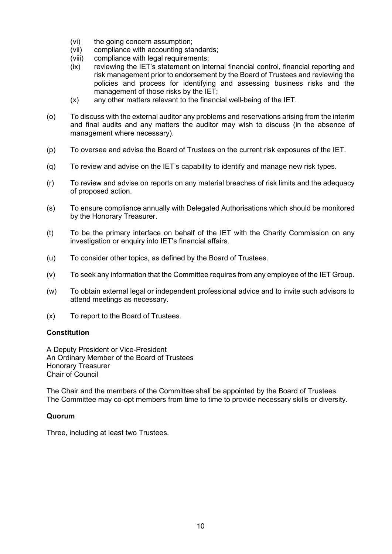- (vi) the going concern assumption;
- 
- (vii) compliance with accounting standards;<br>(viii) compliance with legal requirements; compliance with legal requirements;
- (ix) reviewing the IET's statement on internal financial control, financial reporting and risk management prior to endorsement by the Board of Trustees and reviewing the policies and process for identifying and assessing business risks and the management of those risks by the IET;
- (x) any other matters relevant to the financial well-being of the IET.
- (o) To discuss with the external auditor any problems and reservations arising from the interim and final audits and any matters the auditor may wish to discuss (in the absence of management where necessary).
- (p) To oversee and advise the Board of Trustees on the current risk exposures of the IET.
- (q) To review and advise on the IET's capability to identify and manage new risk types.
- (r) To review and advise on reports on any material breaches of risk limits and the adequacy of proposed action.
- (s) To ensure compliance annually with Delegated Authorisations which should be monitored by the Honorary Treasurer.
- (t) To be the primary interface on behalf of the IET with the Charity Commission on any investigation or enquiry into IET's financial affairs.
- (u) To consider other topics, as defined by the Board of Trustees.
- (v) To seek any information that the Committee requires from any employee of the IET Group.
- (w) To obtain external legal or independent professional advice and to invite such advisors to attend meetings as necessary.
- (x) To report to the Board of Trustees.

# **Constitution**

A Deputy President or Vice-President An Ordinary Member of the Board of Trustees Honorary Treasurer Chair of Council

The Chair and the members of the Committee shall be appointed by the Board of Trustees. The Committee may co-opt members from time to time to provide necessary skills or diversity.

# **Quorum**

Three, including at least two Trustees.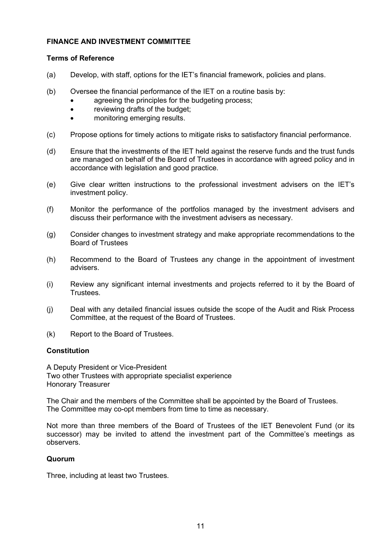# <span id="page-10-0"></span>**FINANCE AND INVESTMENT COMMITTEE**

# **Terms of Reference**

- (a) Develop, with staff, options for the IET's financial framework, policies and plans.
- (b) Oversee the financial performance of the IET on a routine basis by:
	- agreeing the principles for the budgeting process;
		- reviewing drafts of the budget;
		- monitoring emerging results.
- (c) Propose options for timely actions to mitigate risks to satisfactory financial performance.
- (d) Ensure that the investments of the IET held against the reserve funds and the trust funds are managed on behalf of the Board of Trustees in accordance with agreed policy and in accordance with legislation and good practice.
- (e) Give clear written instructions to the professional investment advisers on the IET's investment policy.
- (f) Monitor the performance of the portfolios managed by the investment advisers and discuss their performance with the investment advisers as necessary.
- (g) Consider changes to investment strategy and make appropriate recommendations to the Board of Trustees
- (h) Recommend to the Board of Trustees any change in the appointment of investment advisers.
- (i) Review any significant internal investments and projects referred to it by the Board of **Trustees**
- (j) Deal with any detailed financial issues outside the scope of the Audit and Risk Process Committee, at the request of the Board of Trustees.
- (k) Report to the Board of Trustees.

# **Constitution**

A Deputy President or Vice-President Two other Trustees with appropriate specialist experience Honorary Treasurer

The Chair and the members of the Committee shall be appointed by the Board of Trustees. The Committee may co-opt members from time to time as necessary.

Not more than three members of the Board of Trustees of the IET Benevolent Fund (or its successor) may be invited to attend the investment part of the Committee's meetings as observers.

# **Quorum**

Three, including at least two Trustees.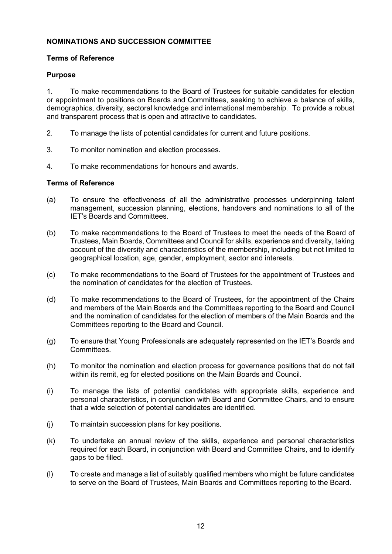# <span id="page-11-0"></span>**NOMINATIONS AND SUCCESSION COMMITTEE**

# **Terms of Reference**

# **Purpose**

1. To make recommendations to the Board of Trustees for suitable candidates for election or appointment to positions on Boards and Committees, seeking to achieve a balance of skills, demographics, diversity, sectoral knowledge and international membership. To provide a robust and transparent process that is open and attractive to candidates.

- 2. To manage the lists of potential candidates for current and future positions.
- 3. To monitor nomination and election processes.
- 4. To make recommendations for honours and awards.

# **Terms of Reference**

- (a) To ensure the effectiveness of all the administrative processes underpinning talent management, succession planning, elections, handovers and nominations to all of the IET's Boards and Committees.
- (b) To make recommendations to the Board of Trustees to meet the needs of the Board of Trustees, Main Boards, Committees and Council for skills, experience and diversity, taking account of the diversity and characteristics of the membership, including but not limited to geographical location, age, gender, employment, sector and interests.
- (c) To make recommendations to the Board of Trustees for the appointment of Trustees and the nomination of candidates for the election of Trustees.
- (d) To make recommendations to the Board of Trustees, for the appointment of the Chairs and members of the Main Boards and the Committees reporting to the Board and Council and the nomination of candidates for the election of members of the Main Boards and the Committees reporting to the Board and Council.
- (g) To ensure that Young Professionals are adequately represented on the IET's Boards and Committees.
- (h) To monitor the nomination and election process for governance positions that do not fall within its remit, eg for elected positions on the Main Boards and Council.
- (i) To manage the lists of potential candidates with appropriate skills, experience and personal characteristics, in conjunction with Board and Committee Chairs, and to ensure that a wide selection of potential candidates are identified.
- (j) To maintain succession plans for key positions.
- (k) To undertake an annual review of the skills, experience and personal characteristics required for each Board, in conjunction with Board and Committee Chairs, and to identify gaps to be filled.
- (l) To create and manage a list of suitably qualified members who might be future candidates to serve on the Board of Trustees, Main Boards and Committees reporting to the Board.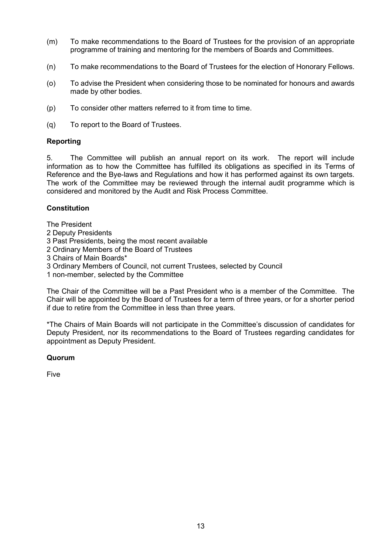- (m) To make recommendations to the Board of Trustees for the provision of an appropriate programme of training and mentoring for the members of Boards and Committees.
- (n) To make recommendations to the Board of Trustees for the election of Honorary Fellows.
- (o) To advise the President when considering those to be nominated for honours and awards made by other bodies.
- (p) To consider other matters referred to it from time to time.
- (q) To report to the Board of Trustees.

# **Reporting**

5. The Committee will publish an annual report on its work. The report will include information as to how the Committee has fulfilled its obligations as specified in its Terms of Reference and the Bye-laws and Regulations and how it has performed against its own targets. The work of the Committee may be reviewed through the internal audit programme which is considered and monitored by the Audit and Risk Process Committee.

# **Constitution**

The President

- 2 Deputy Presidents
- 3 Past Presidents, being the most recent available
- 2 Ordinary Members of the Board of Trustees
- 3 Chairs of Main Boards\*
- 3 Ordinary Members of Council, not current Trustees, selected by Council
- 1 non-member, selected by the Committee

The Chair of the Committee will be a Past President who is a member of the Committee. The Chair will be appointed by the Board of Trustees for a term of three years, or for a shorter period if due to retire from the Committee in less than three years.

\*The Chairs of Main Boards will not participate in the Committee's discussion of candidates for Deputy President, nor its recommendations to the Board of Trustees regarding candidates for appointment as Deputy President.

# **Quorum**

Five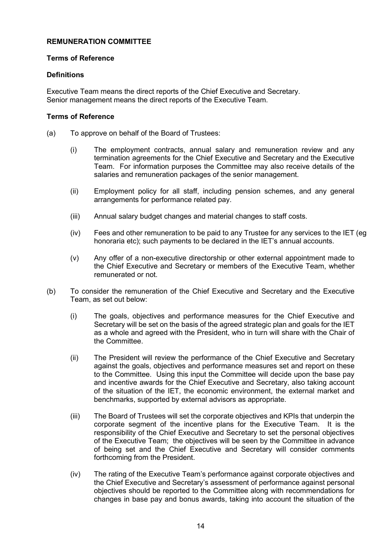# <span id="page-13-0"></span>**REMUNERATION COMMITTEE**

### **Terms of Reference**

### **Definitions**

Executive Team means the direct reports of the Chief Executive and Secretary. Senior management means the direct reports of the Executive Team.

#### **Terms of Reference**

- (a) To approve on behalf of the Board of Trustees:
	- (i) The employment contracts, annual salary and remuneration review and any termination agreements for the Chief Executive and Secretary and the Executive Team. For information purposes the Committee may also receive details of the salaries and remuneration packages of the senior management.
	- (ii) Employment policy for all staff, including pension schemes, and any general arrangements for performance related pay.
	- (iii) Annual salary budget changes and material changes to staff costs.
	- (iv) Fees and other remuneration to be paid to any Trustee for any services to the IET (eg honoraria etc); such payments to be declared in the IET's annual accounts.
	- (v) Any offer of a non-executive directorship or other external appointment made to the Chief Executive and Secretary or members of the Executive Team, whether remunerated or not.
- (b) To consider the remuneration of the Chief Executive and Secretary and the Executive Team, as set out below:
	- (i) The goals, objectives and performance measures for the Chief Executive and Secretary will be set on the basis of the agreed strategic plan and goals for the IET as a whole and agreed with the President, who in turn will share with the Chair of the Committee.
	- (ii) The President will review the performance of the Chief Executive and Secretary against the goals, objectives and performance measures set and report on these to the Committee. Using this input the Committee will decide upon the base pay and incentive awards for the Chief Executive and Secretary, also taking account of the situation of the IET, the economic environment, the external market and benchmarks, supported by external advisors as appropriate.
	- (iii) The Board of Trustees will set the corporate objectives and KPIs that underpin the corporate segment of the incentive plans for the Executive Team. It is the responsibility of the Chief Executive and Secretary to set the personal objectives of the Executive Team; the objectives will be seen by the Committee in advance of being set and the Chief Executive and Secretary will consider comments forthcoming from the President.
	- (iv) The rating of the Executive Team's performance against corporate objectives and the Chief Executive and Secretary's assessment of performance against personal objectives should be reported to the Committee along with recommendations for changes in base pay and bonus awards, taking into account the situation of the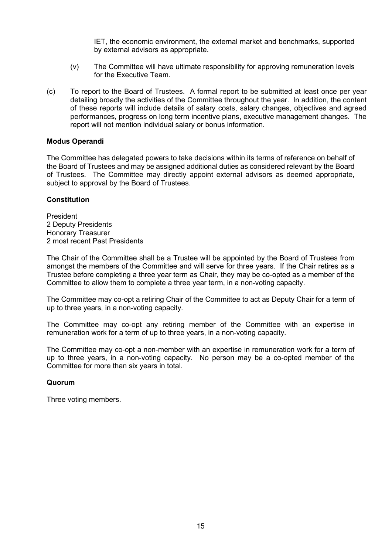IET, the economic environment, the external market and benchmarks, supported by external advisors as appropriate.

- (v) The Committee will have ultimate responsibility for approving remuneration levels for the Executive Team.
- (c) To report to the Board of Trustees. A formal report to be submitted at least once per year detailing broadly the activities of the Committee throughout the year. In addition, the content of these reports will include details of salary costs, salary changes, objectives and agreed performances, progress on long term incentive plans, executive management changes. The report will not mention individual salary or bonus information.

# **Modus Operandi**

The Committee has delegated powers to take decisions within its terms of reference on behalf of the Board of Trustees and may be assigned additional duties as considered relevant by the Board of Trustees. The Committee may directly appoint external advisors as deemed appropriate, subject to approval by the Board of Trustees.

#### **Constitution**

President 2 Deputy Presidents Honorary Treasurer 2 most recent Past Presidents

The Chair of the Committee shall be a Trustee will be appointed by the Board of Trustees from amongst the members of the Committee and will serve for three years. If the Chair retires as a Trustee before completing a three year term as Chair, they may be co-opted as a member of the Committee to allow them to complete a three year term, in a non-voting capacity.

The Committee may co-opt a retiring Chair of the Committee to act as Deputy Chair for a term of up to three years, in a non-voting capacity.

The Committee may co-opt any retiring member of the Committee with an expertise in remuneration work for a term of up to three years, in a non-voting capacity.

The Committee may co-opt a non-member with an expertise in remuneration work for a term of up to three years, in a non-voting capacity. No person may be a co-opted member of the Committee for more than six years in total.

#### **Quorum**

Three voting members.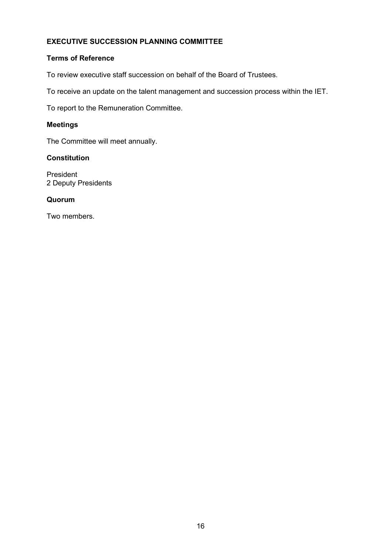# <span id="page-15-0"></span>**EXECUTIVE SUCCESSION PLANNING COMMITTEE**

## **Terms of Reference**

To review executive staff succession on behalf of the Board of Trustees.

To receive an update on the talent management and succession process within the IET.

To report to the Remuneration Committee.

### **Meetings**

The Committee will meet annually.

# **Constitution**

President 2 Deputy Presidents

### **Quorum**

Two members.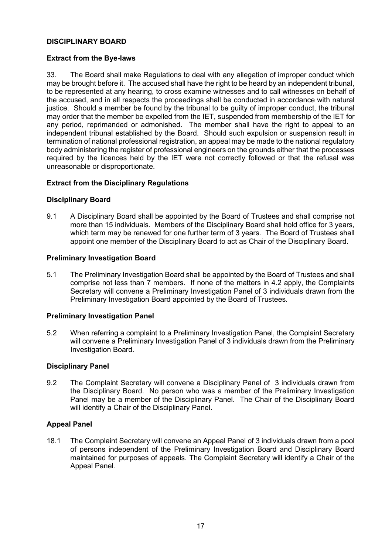# <span id="page-16-0"></span>**DISCIPLINARY BOARD**

# **Extract from the Bye-laws**

33. The Board shall make Regulations to deal with any allegation of improper conduct which may be brought before it. The accused shall have the right to be heard by an independent tribunal, to be represented at any hearing, to cross examine witnesses and to call witnesses on behalf of the accused, and in all respects the proceedings shall be conducted in accordance with natural justice. Should a member be found by the tribunal to be guilty of improper conduct, the tribunal may order that the member be expelled from the IET, suspended from membership of the IET for any period, reprimanded or admonished. The member shall have the right to appeal to an independent tribunal established by the Board. Should such expulsion or suspension result in termination of national professional registration, an appeal may be made to the national regulatory body administering the register of professional engineers on the grounds either that the processes required by the licences held by the IET were not correctly followed or that the refusal was unreasonable or disproportionate.

# **Extract from the Disciplinary Regulations**

# **Disciplinary Board**

9.1 A Disciplinary Board shall be appointed by the Board of Trustees and shall comprise not more than 15 individuals. Members of the Disciplinary Board shall hold office for 3 years, which term may be renewed for one further term of 3 years. The Board of Trustees shall appoint one member of the Disciplinary Board to act as Chair of the Disciplinary Board.

# **Preliminary Investigation Board**

5.1 The Preliminary Investigation Board shall be appointed by the Board of Trustees and shall comprise not less than 7 members. If none of the matters in 4.2 apply, the Complaints Secretary will convene a Preliminary Investigation Panel of 3 individuals drawn from the Preliminary Investigation Board appointed by the Board of Trustees.

# **Preliminary Investigation Panel**

5.2 When referring a complaint to a Preliminary Investigation Panel, the Complaint Secretary will convene a Preliminary Investigation Panel of 3 individuals drawn from the Preliminary Investigation Board.

# **Disciplinary Panel**

9.2 The Complaint Secretary will convene a Disciplinary Panel of 3 individuals drawn from the Disciplinary Board. No person who was a member of the Preliminary Investigation Panel may be a member of the Disciplinary Panel. The Chair of the Disciplinary Board will identify a Chair of the Disciplinary Panel.

# **Appeal Panel**

18.1 The Complaint Secretary will convene an Appeal Panel of 3 individuals drawn from a pool of persons independent of the Preliminary Investigation Board and Disciplinary Board maintained for purposes of appeals. The Complaint Secretary will identify a Chair of the Appeal Panel.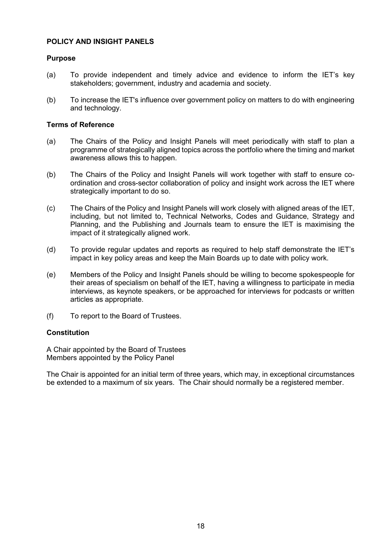# <span id="page-17-0"></span>**POLICY AND INSIGHT PANELS**

## **Purpose**

- (a) To provide independent and timely advice and evidence to inform the IET's key stakeholders; government, industry and academia and society.
- (b) To increase the IET's influence over government policy on matters to do with engineering and technology.

#### **Terms of Reference**

- (a) The Chairs of the Policy and Insight Panels will meet periodically with staff to plan a programme of strategically aligned topics across the portfolio where the timing and market awareness allows this to happen.
- (b) The Chairs of the Policy and Insight Panels will work together with staff to ensure coordination and cross-sector collaboration of policy and insight work across the IET where strategically important to do so.
- (c) The Chairs of the Policy and Insight Panels will work closely with aligned areas of the IET, including, but not limited to, Technical Networks, Codes and Guidance, Strategy and Planning, and the Publishing and Journals team to ensure the IET is maximising the impact of it strategically aligned work.
- (d) To provide regular updates and reports as required to help staff demonstrate the IET's impact in key policy areas and keep the Main Boards up to date with policy work.
- (e) Members of the Policy and Insight Panels should be willing to become spokespeople for their areas of specialism on behalf of the IET, having a willingness to participate in media interviews, as keynote speakers, or be approached for interviews for podcasts or written articles as appropriate.
- (f) To report to the Board of Trustees.

# **Constitution**

A Chair appointed by the Board of Trustees Members appointed by the Policy Panel

The Chair is appointed for an initial term of three years, which may, in exceptional circumstances be extended to a maximum of six years. The Chair should normally be a registered member.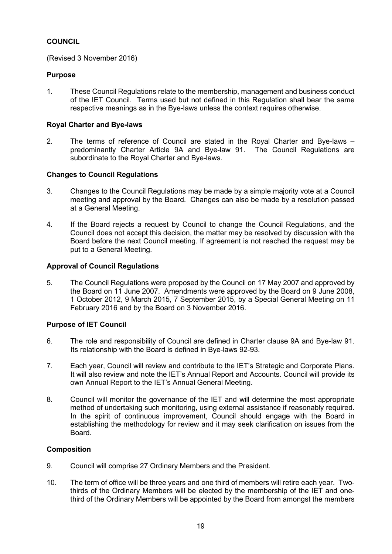# <span id="page-18-0"></span>**COUNCIL**

(Revised 3 November 2016)

# **Purpose**

1. These Council Regulations relate to the membership, management and business conduct of the IET Council. Terms used but not defined in this Regulation shall bear the same respective meanings as in the Bye-laws unless the context requires otherwise.

# **Royal Charter and Bye-laws**

2. The terms of reference of Council are stated in the Royal Charter and Bye-laws – predominantly Charter Article 9A and Bye-law 91. The Council Regulations are subordinate to the Royal Charter and Bye-laws.

# **Changes to Council Regulations**

- 3. Changes to the Council Regulations may be made by a simple majority vote at a Council meeting and approval by the Board. Changes can also be made by a resolution passed at a General Meeting.
- 4. If the Board rejects a request by Council to change the Council Regulations, and the Council does not accept this decision, the matter may be resolved by discussion with the Board before the next Council meeting. If agreement is not reached the request may be put to a General Meeting.

# **Approval of Council Regulations**

5. The Council Regulations were proposed by the Council on 17 May 2007 and approved by the Board on 11 June 2007. Amendments were approved by the Board on 9 June 2008, 1 October 2012, 9 March 2015, 7 September 2015, by a Special General Meeting on 11 February 2016 and by the Board on 3 November 2016.

# **Purpose of IET Council**

- 6. The role and responsibility of Council are defined in Charter clause 9A and Bye-law 91. Its relationship with the Board is defined in Bye-laws 92-93.
- 7. Each year, Council will review and contribute to the IET's Strategic and Corporate Plans. It will also review and note the IET's Annual Report and Accounts. Council will provide its own Annual Report to the IET's Annual General Meeting.
- 8. Council will monitor the governance of the IET and will determine the most appropriate method of undertaking such monitoring, using external assistance if reasonably required. In the spirit of continuous improvement, Council should engage with the Board in establishing the methodology for review and it may seek clarification on issues from the Board.

# **Composition**

- 9. Council will comprise 27 Ordinary Members and the President.
- 10. The term of office will be three years and one third of members will retire each year. Twothirds of the Ordinary Members will be elected by the membership of the IET and onethird of the Ordinary Members will be appointed by the Board from amongst the members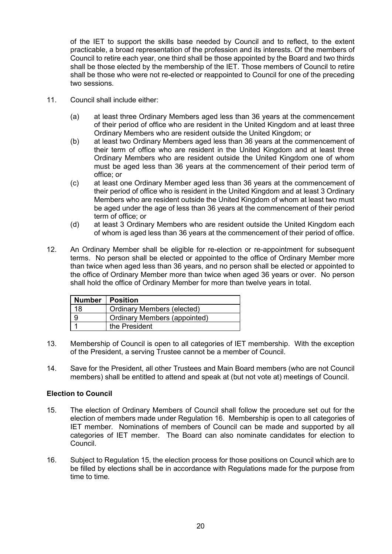of the IET to support the skills base needed by Council and to reflect, to the extent practicable, a broad representation of the profession and its interests. Of the members of Council to retire each year, one third shall be those appointed by the Board and two thirds shall be those elected by the membership of the IET. Those members of Council to retire shall be those who were not re-elected or reappointed to Council for one of the preceding two sessions.

- 11. Council shall include either:
	- (a) at least three Ordinary Members aged less than 36 years at the commencement of their period of office who are resident in the United Kingdom and at least three Ordinary Members who are resident outside the United Kingdom; or
	- (b) at least two Ordinary Members aged less than 36 years at the commencement of their term of office who are resident in the United Kingdom and at least three Ordinary Members who are resident outside the United Kingdom one of whom must be aged less than 36 years at the commencement of their period term of office; or
	- (c) at least one Ordinary Member aged less than 36 years at the commencement of their period of office who is resident in the United Kingdom and at least 3 Ordinary Members who are resident outside the United Kingdom of whom at least two must be aged under the age of less than 36 years at the commencement of their period term of office; or
	- (d) at least 3 Ordinary Members who are resident outside the United Kingdom each of whom is aged less than 36 years at the commencement of their period of office.
- 12. An Ordinary Member shall be eligible for re-election or re-appointment for subsequent terms. No person shall be elected or appointed to the office of Ordinary Member more than twice when aged less than 36 years, and no person shall be elected or appointed to the office of Ordinary Member more than twice when aged 36 years or over. No person shall hold the office of Ordinary Member for more than twelve years in total.

|    | <b>Number   Position</b>            |
|----|-------------------------------------|
| 18 | <b>Ordinary Members (elected)</b>   |
|    | <b>Ordinary Members (appointed)</b> |
|    | the President                       |

- 13. Membership of Council is open to all categories of IET membership. With the exception of the President, a serving Trustee cannot be a member of Council.
- 14. Save for the President, all other Trustees and Main Board members (who are not Council members) shall be entitled to attend and speak at (but not vote at) meetings of Council.

#### **Election to Council**

- 15. The election of Ordinary Members of Council shall follow the procedure set out for the election of members made under Regulation 16. Membership is open to all categories of IET member. Nominations of members of Council can be made and supported by all categories of IET member. The Board can also nominate candidates for election to Council.
- 16. Subject to Regulation 15, the election process for those positions on Council which are to be filled by elections shall be in accordance with Regulations made for the purpose from time to time.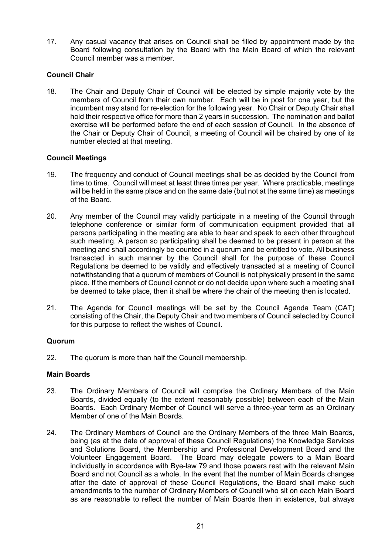17. Any casual vacancy that arises on Council shall be filled by appointment made by the Board following consultation by the Board with the Main Board of which the relevant Council member was a member.

# **Council Chair**

18. The Chair and Deputy Chair of Council will be elected by simple majority vote by the members of Council from their own number. Each will be in post for one year, but the incumbent may stand for re-election for the following year. No Chair or Deputy Chair shall hold their respective office for more than 2 years in succession. The nomination and ballot exercise will be performed before the end of each session of Council. In the absence of the Chair or Deputy Chair of Council, a meeting of Council will be chaired by one of its number elected at that meeting.

# **Council Meetings**

- 19. The frequency and conduct of Council meetings shall be as decided by the Council from time to time. Council will meet at least three times per year. Where practicable, meetings will be held in the same place and on the same date (but not at the same time) as meetings of the Board.
- 20. Any member of the Council may validly participate in a meeting of the Council through telephone conference or similar form of communication equipment provided that all persons participating in the meeting are able to hear and speak to each other throughout such meeting. A person so participating shall be deemed to be present in person at the meeting and shall accordingly be counted in a quorum and be entitled to vote. All business transacted in such manner by the Council shall for the purpose of these Council Regulations be deemed to be validly and effectively transacted at a meeting of Council notwithstanding that a quorum of members of Council is not physically present in the same place. If the members of Council cannot or do not decide upon where such a meeting shall be deemed to take place, then it shall be where the chair of the meeting then is located.
- 21. The Agenda for Council meetings will be set by the Council Agenda Team (CAT) consisting of the Chair, the Deputy Chair and two members of Council selected by Council for this purpose to reflect the wishes of Council.

# **Quorum**

22. The quorum is more than half the Council membership.

# **Main Boards**

- 23. The Ordinary Members of Council will comprise the Ordinary Members of the Main Boards, divided equally (to the extent reasonably possible) between each of the Main Boards. Each Ordinary Member of Council will serve a three-year term as an Ordinary Member of one of the Main Boards.
- 24. The Ordinary Members of Council are the Ordinary Members of the three Main Boards, being (as at the date of approval of these Council Regulations) the Knowledge Services and Solutions Board, the Membership and Professional Development Board and the Volunteer Engagement Board. The Board may delegate powers to a Main Board individually in accordance with Bye-law 79 and those powers rest with the relevant Main Board and not Council as a whole. In the event that the number of Main Boards changes after the date of approval of these Council Regulations, the Board shall make such amendments to the number of Ordinary Members of Council who sit on each Main Board as are reasonable to reflect the number of Main Boards then in existence, but always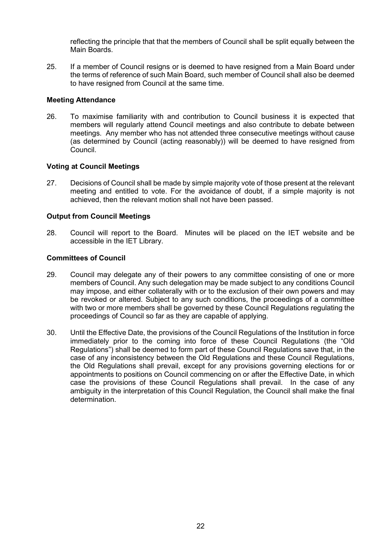reflecting the principle that that the members of Council shall be split equally between the Main Boards.

25. If a member of Council resigns or is deemed to have resigned from a Main Board under the terms of reference of such Main Board, such member of Council shall also be deemed to have resigned from Council at the same time.

### **Meeting Attendance**

26. To maximise familiarity with and contribution to Council business it is expected that members will regularly attend Council meetings and also contribute to debate between meetings. Any member who has not attended three consecutive meetings without cause (as determined by Council (acting reasonably)) will be deemed to have resigned from Council.

#### **Voting at Council Meetings**

27. Decisions of Council shall be made by simple majority vote of those present at the relevant meeting and entitled to vote. For the avoidance of doubt, if a simple majority is not achieved, then the relevant motion shall not have been passed.

#### **Output from Council Meetings**

28. Council will report to the Board. Minutes will be placed on the IET website and be accessible in the IET Library.

### **Committees of Council**

- 29. Council may delegate any of their powers to any committee consisting of one or more members of Council. Any such delegation may be made subject to any conditions Council may impose, and either collaterally with or to the exclusion of their own powers and may be revoked or altered. Subject to any such conditions, the proceedings of a committee with two or more members shall be governed by these Council Regulations regulating the proceedings of Council so far as they are capable of applying.
- 30. Until the Effective Date, the provisions of the Council Regulations of the Institution in force immediately prior to the coming into force of these Council Regulations (the "Old Regulations") shall be deemed to form part of these Council Regulations save that, in the case of any inconsistency between the Old Regulations and these Council Regulations, the Old Regulations shall prevail, except for any provisions governing elections for or appointments to positions on Council commencing on or after the Effective Date, in which case the provisions of these Council Regulations shall prevail. In the case of any ambiguity in the interpretation of this Council Regulation, the Council shall make the final determination.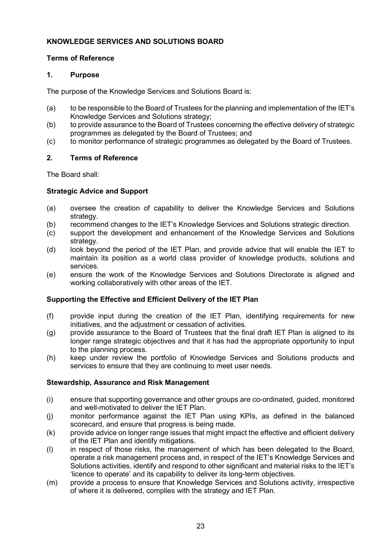# <span id="page-22-0"></span>**KNOWLEDGE SERVICES AND SOLUTIONS BOARD**

# **Terms of Reference**

# **1. Purpose**

The purpose of the Knowledge Services and Solutions Board is:

- (a) to be responsible to the Board of Trustees for the planning and implementation of the IET's Knowledge Services and Solutions strategy;
- (b) to provide assurance to the Board of Trustees concerning the effective delivery of strategic programmes as delegated by the Board of Trustees; and
- (c) to monitor performance of strategic programmes as delegated by the Board of Trustees.

# **2. Terms of Reference**

The Board shall:

# **Strategic Advice and Support**

- (a) oversee the creation of capability to deliver the Knowledge Services and Solutions strategy.
- (b) recommend changes to the IET's Knowledge Services and Solutions strategic direction.
- (c) support the development and enhancement of the Knowledge Services and Solutions strategy.
- (d) look beyond the period of the IET Plan, and provide advice that will enable the IET to maintain its position as a world class provider of knowledge products, solutions and services.
- (e) ensure the work of the Knowledge Services and Solutions Directorate is aligned and working collaboratively with other areas of the IET.

# **Supporting the Effective and Efficient Delivery of the IET Plan**

- (f) provide input during the creation of the IET Plan, identifying requirements for new initiatives, and the adjustment or cessation of activities.
- (g) provide assurance to the Board of Trustees that the final draft IET Plan is aligned to its longer range strategic objectives and that it has had the appropriate opportunity to input to the planning process.
- (h) keep under review the portfolio of Knowledge Services and Solutions products and services to ensure that they are continuing to meet user needs.

# **Stewardship, Assurance and Risk Management**

- (i) ensure that supporting governance and other groups are co-ordinated, guided, monitored and well-motivated to deliver the IET Plan.
- (j) monitor performance against the IET Plan using KPIs, as defined in the balanced scorecard, and ensure that progress is being made.
- (k) provide advice on longer range issues that might impact the effective and efficient delivery of the IET Plan and identify mitigations.
- (l) in respect of those risks, the management of which has been delegated to the Board, operate a risk management process and, in respect of the IET's Knowledge Services and Solutions activities, identify and respond to other significant and material risks to the IET's 'licence to operate' and its capability to deliver its long-term objectives.
- (m) provide a process to ensure that Knowledge Services and Solutions activity, irrespective of where it is delivered, complies with the strategy and IET Plan.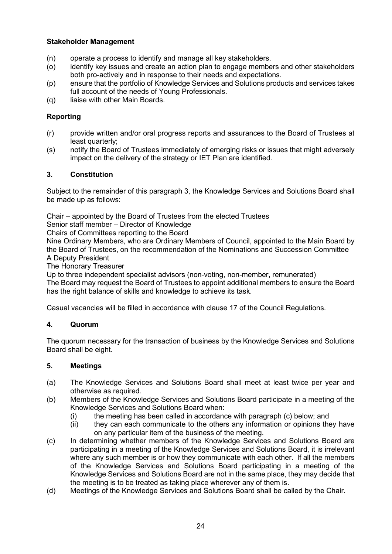# **Stakeholder Management**

- (n) operate a process to identify and manage all key stakeholders.
- (o) identify key issues and create an action plan to engage members and other stakeholders both pro-actively and in response to their needs and expectations.
- (p) ensure that the portfolio of Knowledge Services and Solutions products and services takes full account of the needs of Young Professionals.
- (q) liaise with other Main Boards.

# **Reporting**

- (r) provide written and/or oral progress reports and assurances to the Board of Trustees at least quarterly;
- (s) notify the Board of Trustees immediately of emerging risks or issues that might adversely impact on the delivery of the strategy or IET Plan are identified.

# **3. Constitution**

Subject to the remainder of this paragraph 3, the Knowledge Services and Solutions Board shall be made up as follows:

Chair – appointed by the Board of Trustees from the elected Trustees

Senior staff member – Director of Knowledge

Chairs of Committees reporting to the Board

Nine Ordinary Members, who are Ordinary Members of Council, appointed to the Main Board by the Board of Trustees, on the recommendation of the Nominations and Succession Committee A Deputy President

The Honorary Treasurer

Up to three independent specialist advisors (non-voting, non-member, remunerated)

The Board may request the Board of Trustees to appoint additional members to ensure the Board has the right balance of skills and knowledge to achieve its task.

Casual vacancies will be filled in accordance with clause 17 of the Council Regulations.

# **4. Quorum**

The quorum necessary for the transaction of business by the Knowledge Services and Solutions Board shall be eight.

# **5. Meetings**

- (a) The Knowledge Services and Solutions Board shall meet at least twice per year and otherwise as required.
- (b) Members of the Knowledge Services and Solutions Board participate in a meeting of the Knowledge Services and Solutions Board when:
	-
	- (i) the meeting has been called in accordance with paragraph (c) below; and  $(ii)$  they can each communicate to the others any information or opinions the they can each communicate to the others any information or opinions they have on any particular item of the business of the meeting.
- (c) In determining whether members of the Knowledge Services and Solutions Board are participating in a meeting of the Knowledge Services and Solutions Board, it is irrelevant where any such member is or how they communicate with each other. If all the members of the Knowledge Services and Solutions Board participating in a meeting of the Knowledge Services and Solutions Board are not in the same place, they may decide that the meeting is to be treated as taking place wherever any of them is.
- (d) Meetings of the Knowledge Services and Solutions Board shall be called by the Chair.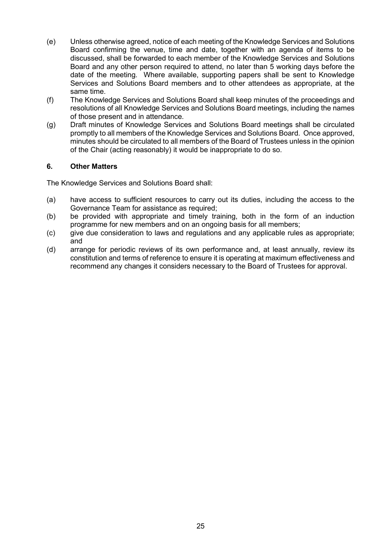- (e) Unless otherwise agreed, notice of each meeting of the Knowledge Services and Solutions Board confirming the venue, time and date, together with an agenda of items to be discussed, shall be forwarded to each member of the Knowledge Services and Solutions Board and any other person required to attend, no later than 5 working days before the date of the meeting. Where available, supporting papers shall be sent to Knowledge Services and Solutions Board members and to other attendees as appropriate, at the same time.
- (f) The Knowledge Services and Solutions Board shall keep minutes of the proceedings and resolutions of all Knowledge Services and Solutions Board meetings, including the names of those present and in attendance.
- (g) Draft minutes of Knowledge Services and Solutions Board meetings shall be circulated promptly to all members of the Knowledge Services and Solutions Board. Once approved, minutes should be circulated to all members of the Board of Trustees unless in the opinion of the Chair (acting reasonably) it would be inappropriate to do so.

# **6. Other Matters**

The Knowledge Services and Solutions Board shall:

- (a) have access to sufficient resources to carry out its duties, including the access to the Governance Team for assistance as required;
- (b) be provided with appropriate and timely training, both in the form of an induction programme for new members and on an ongoing basis for all members;
- (c) give due consideration to laws and regulations and any applicable rules as appropriate; and
- (d) arrange for periodic reviews of its own performance and, at least annually, review its constitution and terms of reference to ensure it is operating at maximum effectiveness and recommend any changes it considers necessary to the Board of Trustees for approval.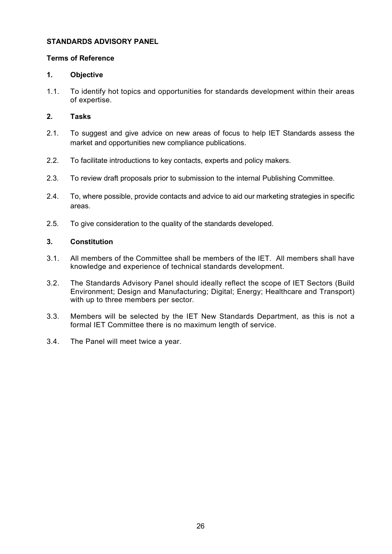# <span id="page-25-0"></span>**STANDARDS ADVISORY PANEL**

# **Terms of Reference**

# **1. Objective**

1.1. To identify hot topics and opportunities for standards development within their areas of expertise.

# **2. Tasks**

- 2.1. To suggest and give advice on new areas of focus to help IET Standards assess the market and opportunities new compliance publications.
- 2.2. To facilitate introductions to key contacts, experts and policy makers.
- 2.3. To review draft proposals prior to submission to the internal Publishing Committee.
- 2.4. To, where possible, provide contacts and advice to aid our marketing strategies in specific areas.
- 2.5. To give consideration to the quality of the standards developed.

# **3. Constitution**

- 3.1. All members of the Committee shall be members of the IET. All members shall have knowledge and experience of technical standards development.
- 3.2. The Standards Advisory Panel should ideally reflect the scope of IET Sectors (Build Environment; Design and Manufacturing; Digital; Energy; Healthcare and Transport) with up to three members per sector.
- 3.3. Members will be selected by the IET New Standards Department, as this is not a formal IET Committee there is no maximum length of service.
- 3.4. The Panel will meet twice a year.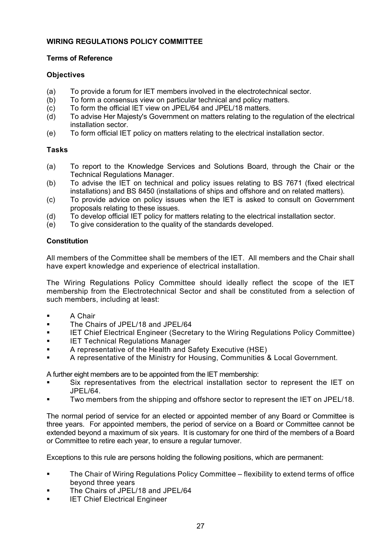# <span id="page-26-0"></span>**WIRING REGULATIONS POLICY COMMITTEE**

# **Terms of Reference**

# **Objectives**

- (a) To provide a forum for IET members involved in the electrotechnical sector.<br>(b) To form a consensus view on particular technical and policy matters.
- (b) To form a consensus view on particular technical and policy matters.<br>(c) To form the official IET view on JPEL/64 and JPEL/18 matters.
- To form the official IET view on JPEL/64 and JPEL/18 matters.
- (d) To advise Her Majesty's Government on matters relating to the regulation of the electrical installation sector.
- (e) To form official IET policy on matters relating to the electrical installation sector.

# **Tasks**

- (a) To report to the Knowledge Services and Solutions Board, through the Chair or the Technical Regulations Manager.
- (b) To advise the IET on technical and policy issues relating to BS 7671 (fixed electrical installations) and BS 8450 (installations of ships and offshore and on related matters).
- (c) To provide advice on policy issues when the IET is asked to consult on Government proposals relating to these issues.
- (d) To develop official IET policy for matters relating to the electrical installation sector.
- (e) To give consideration to the quality of the standards developed.

# **Constitution**

All members of the Committee shall be members of the IET. All members and the Chair shall have expert knowledge and experience of electrical installation.

The Wiring Regulations Policy Committee should ideally reflect the scope of the IET membership from the Electrotechnical Sector and shall be constituted from a selection of such members, including at least:

- **A Chair**
- **The Chairs of JPEL/18 and JPEL/64**
- **IET Chief Electrical Engineer (Secretary to the Wiring Regulations Policy Committee)**
- **IET Technical Regulations Manager**
- A representative of the Health and Safety Executive (HSE)
- A representative of the Ministry for Housing, Communities & Local Government.

A further eight members are to be appointed from the IET membership:

- Six representatives from the electrical installation sector to represent the IET on JPEL/64.
- Two members from the shipping and offshore sector to represent the IET on JPEL/18.

The normal period of service for an elected or appointed member of any Board or Committee is three years. For appointed members, the period of service on a Board or Committee cannot be extended beyond a maximum of six years. It is customary for one third of the members of a Board or Committee to retire each year, to ensure a regular turnover.

Exceptions to this rule are persons holding the following positions, which are permanent:

- The Chair of Wiring Regulations Policy Committee flexibility to extend terms of office beyond three years
- The Chairs of JPEL/18 and JPEL/64
- **IET Chief Electrical Engineer**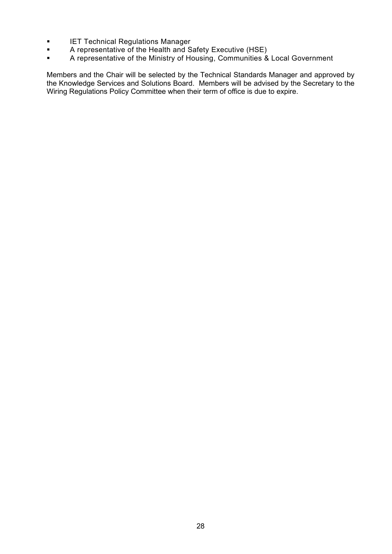- **IET Technical Regulations Manager<br>A representative of the Health and S**
- A representative of the Health and Safety Executive (HSE)<br>A representative of the Ministry of Housing Communities &
- A representative of the Ministry of Housing, Communities & Local Government

Members and the Chair will be selected by the Technical Standards Manager and approved by the Knowledge Services and Solutions Board. Members will be advised by the Secretary to the Wiring Regulations Policy Committee when their term of office is due to expire.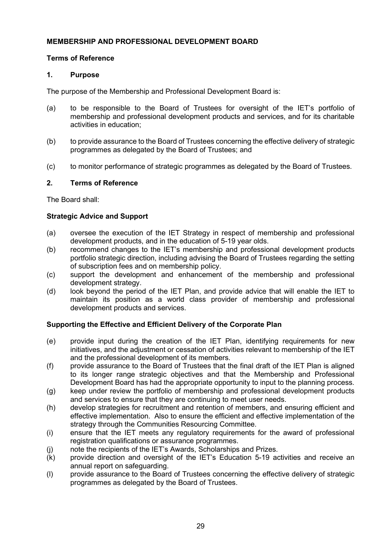# <span id="page-28-0"></span>**MEMBERSHIP AND PROFESSIONAL DEVELOPMENT BOARD**

# **Terms of Reference**

# **1. Purpose**

The purpose of the Membership and Professional Development Board is:

- (a) to be responsible to the Board of Trustees for oversight of the IET's portfolio of membership and professional development products and services, and for its charitable activities in education;
- (b) to provide assurance to the Board of Trustees concerning the effective delivery of strategic programmes as delegated by the Board of Trustees; and
- (c) to monitor performance of strategic programmes as delegated by the Board of Trustees.

# **2. Terms of Reference**

The Board shall:

# **Strategic Advice and Support**

- (a) oversee the execution of the IET Strategy in respect of membership and professional development products, and in the education of 5-19 year olds.
- (b) recommend changes to the IET's membership and professional development products portfolio strategic direction, including advising the Board of Trustees regarding the setting of subscription fees and on membership policy.
- (c) support the development and enhancement of the membership and professional development strategy.
- (d) look beyond the period of the IET Plan, and provide advice that will enable the IET to maintain its position as a world class provider of membership and professional development products and services.

# **Supporting the Effective and Efficient Delivery of the Corporate Plan**

- (e) provide input during the creation of the IET Plan, identifying requirements for new initiatives, and the adjustment or cessation of activities relevant to membership of the IET and the professional development of its members.
- (f) provide assurance to the Board of Trustees that the final draft of the IET Plan is aligned to its longer range strategic objectives and that the Membership and Professional Development Board has had the appropriate opportunity to input to the planning process.
- (g) keep under review the portfolio of membership and professional development products and services to ensure that they are continuing to meet user needs.
- (h) develop strategies for recruitment and retention of members, and ensuring efficient and effective implementation. Also to ensure the efficient and effective implementation of the strategy through the Communities Resourcing Committee.
- (i) ensure that the IET meets any regulatory requirements for the award of professional registration qualifications or assurance programmes.
- (j) note the recipients of the IET's Awards, Scholarships and Prizes.
- (k) provide direction and oversight of the IET's Education 5-19 activities and receive an annual report on safeguarding.
- (l) provide assurance to the Board of Trustees concerning the effective delivery of strategic programmes as delegated by the Board of Trustees.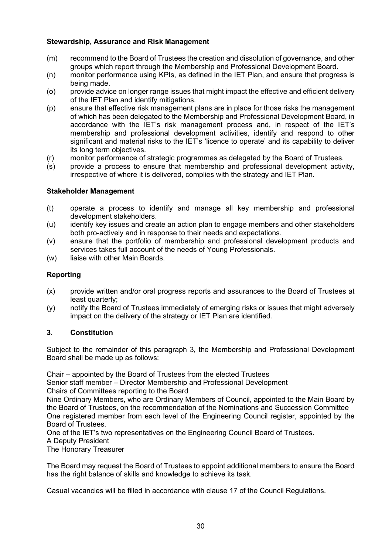# **Stewardship, Assurance and Risk Management**

- (m) recommend to the Board of Trustees the creation and dissolution of governance, and other groups which report through the Membership and Professional Development Board.
- (n) monitor performance using KPIs, as defined in the IET Plan, and ensure that progress is being made.
- (o) provide advice on longer range issues that might impact the effective and efficient delivery of the IET Plan and identify mitigations.
- (p) ensure that effective risk management plans are in place for those risks the management of which has been delegated to the Membership and Professional Development Board, in accordance with the IET's risk management process and, in respect of the IET's membership and professional development activities, identify and respond to other significant and material risks to the IET's 'licence to operate' and its capability to deliver its long term objectives.
- (r) monitor performance of strategic programmes as delegated by the Board of Trustees.
- (s) provide a process to ensure that membership and professional development activity, irrespective of where it is delivered, complies with the strategy and IET Plan.

# **Stakeholder Management**

- (t) operate a process to identify and manage all key membership and professional development stakeholders.
- (u) identify key issues and create an action plan to engage members and other stakeholders both pro-actively and in response to their needs and expectations.
- (v) ensure that the portfolio of membership and professional development products and services takes full account of the needs of Young Professionals.
- (w) liaise with other Main Boards.

# **Reporting**

- (x) provide written and/or oral progress reports and assurances to the Board of Trustees at least quarterly;
- (y) notify the Board of Trustees immediately of emerging risks or issues that might adversely impact on the delivery of the strategy or IET Plan are identified.

# **3. Constitution**

Subject to the remainder of this paragraph 3, the Membership and Professional Development Board shall be made up as follows:

Chair – appointed by the Board of Trustees from the elected Trustees

Senior staff member – Director Membership and Professional Development Chairs of Committees reporting to the Board

Nine Ordinary Members, who are Ordinary Members of Council, appointed to the Main Board by the Board of Trustees, on the recommendation of the Nominations and Succession Committee One registered member from each level of the Engineering Council register, appointed by the Board of Trustees.

One of the IET's two representatives on the Engineering Council Board of Trustees. A Deputy President

The Honorary Treasurer

The Board may request the Board of Trustees to appoint additional members to ensure the Board has the right balance of skills and knowledge to achieve its task.

Casual vacancies will be filled in accordance with clause 17 of the Council Regulations.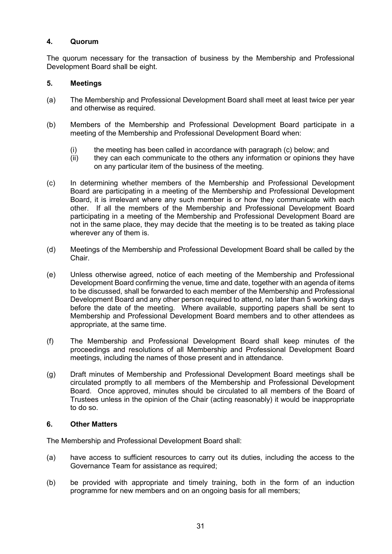# **4. Quorum**

The quorum necessary for the transaction of business by the Membership and Professional Development Board shall be eight.

# **5. Meetings**

- (a) The Membership and Professional Development Board shall meet at least twice per year and otherwise as required.
- (b) Members of the Membership and Professional Development Board participate in a meeting of the Membership and Professional Development Board when:
	- (i) the meeting has been called in accordance with paragraph (c) below; and  $(ii)$  they can each communicate to the others any information or opinions the
	- they can each communicate to the others any information or opinions they have on any particular item of the business of the meeting.
- (c) In determining whether members of the Membership and Professional Development Board are participating in a meeting of the Membership and Professional Development Board, it is irrelevant where any such member is or how they communicate with each other. If all the members of the Membership and Professional Development Board participating in a meeting of the Membership and Professional Development Board are not in the same place, they may decide that the meeting is to be treated as taking place wherever any of them is.
- (d) Meetings of the Membership and Professional Development Board shall be called by the Chair.
- (e) Unless otherwise agreed, notice of each meeting of the Membership and Professional Development Board confirming the venue, time and date, together with an agenda of items to be discussed, shall be forwarded to each member of the Membership and Professional Development Board and any other person required to attend, no later than 5 working days before the date of the meeting. Where available, supporting papers shall be sent to Membership and Professional Development Board members and to other attendees as appropriate, at the same time.
- (f) The Membership and Professional Development Board shall keep minutes of the proceedings and resolutions of all Membership and Professional Development Board meetings, including the names of those present and in attendance.
- (g) Draft minutes of Membership and Professional Development Board meetings shall be circulated promptly to all members of the Membership and Professional Development Board. Once approved, minutes should be circulated to all members of the Board of Trustees unless in the opinion of the Chair (acting reasonably) it would be inappropriate to do so.

# **6. Other Matters**

The Membership and Professional Development Board shall:

- (a) have access to sufficient resources to carry out its duties, including the access to the Governance Team for assistance as required;
- (b) be provided with appropriate and timely training, both in the form of an induction programme for new members and on an ongoing basis for all members;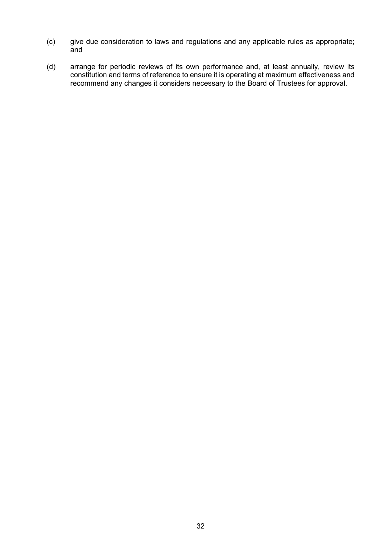- (c) give due consideration to laws and regulations and any applicable rules as appropriate; and
- (d) arrange for periodic reviews of its own performance and, at least annually, review its constitution and terms of reference to ensure it is operating at maximum effectiveness and recommend any changes it considers necessary to the Board of Trustees for approval.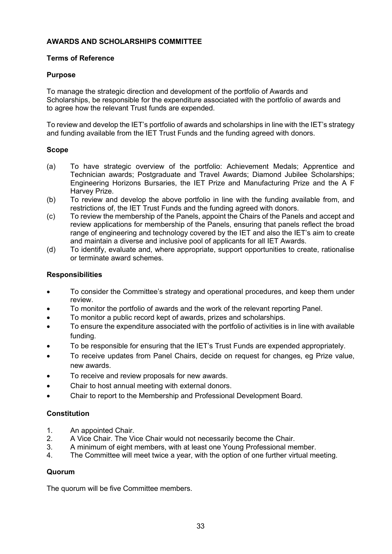# <span id="page-32-0"></span>**AWARDS AND SCHOLARSHIPS COMMITTEE**

# **Terms of Reference**

# **Purpose**

To manage the strategic direction and development of the portfolio of Awards and Scholarships, be responsible for the expenditure associated with the portfolio of awards and to agree how the relevant Trust funds are expended.

To review and develop the IET's portfolio of awards and scholarships in line with the IET's strategy and funding available from the IET Trust Funds and the funding agreed with donors.

# **Scope**

- (a) To have strategic overview of the portfolio: Achievement Medals; Apprentice and Technician awards; Postgraduate and Travel Awards; Diamond Jubilee Scholarships; Engineering Horizons Bursaries, the IET Prize and Manufacturing Prize and the A F Harvey Prize.
- (b) To review and develop the above portfolio in line with the funding available from, and restrictions of, the IET Trust Funds and the funding agreed with donors.
- (c) To review the membership of the Panels, appoint the Chairs of the Panels and accept and review applications for membership of the Panels, ensuring that panels reflect the broad range of engineering and technology covered by the IET and also the IET's aim to create and maintain a diverse and inclusive pool of applicants for all IET Awards.
- (d) To identify, evaluate and, where appropriate, support opportunities to create, rationalise or terminate award schemes.

# **Responsibilities**

- To consider the Committee's strategy and operational procedures, and keep them under review.
- To monitor the portfolio of awards and the work of the relevant reporting Panel.
- To monitor a public record kept of awards, prizes and scholarships.
- To ensure the expenditure associated with the portfolio of activities is in line with available funding.
- To be responsible for ensuring that the IET's Trust Funds are expended appropriately.
- To receive updates from Panel Chairs, decide on request for changes, eg Prize value, new awards.
- To receive and review proposals for new awards.
- Chair to host annual meeting with external donors.
- Chair to report to the Membership and Professional Development Board.

# **Constitution**

- 1. An appointed Chair.<br>2. A Vice Chair. The Vi
- 2. A Vice Chair. The Vice Chair would not necessarily become the Chair.<br>3. A minimum of eight members, with at least one Young Professional me
- 3. A minimum of eight members, with at least one Young Professional member.
- 4. The Committee will meet twice a year, with the option of one further virtual meeting.

# **Quorum**

The quorum will be five Committee members.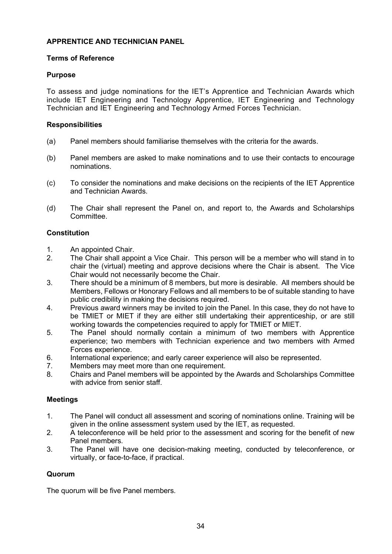# <span id="page-33-0"></span>**APPRENTICE AND TECHNICIAN PANEL**

# **Terms of Reference**

# **Purpose**

To assess and judge nominations for the IET's Apprentice and Technician Awards which include IET Engineering and Technology Apprentice, IET Engineering and Technology Technician and IET Engineering and Technology Armed Forces Technician.

# **Responsibilities**

- (a) Panel members should familiarise themselves with the criteria for the awards.
- (b) Panel members are asked to make nominations and to use their contacts to encourage nominations.
- (c) To consider the nominations and make decisions on the recipients of the IET Apprentice and Technician Awards.
- (d) The Chair shall represent the Panel on, and report to, the Awards and Scholarships Committee.

# **Constitution**

- 1. An appointed Chair.<br>2. The Chair shall appo
- The Chair shall appoint a Vice Chair. This person will be a member who will stand in to chair the (virtual) meeting and approve decisions where the Chair is absent. The Vice Chair would not necessarily become the Chair.
- 3. There should be a minimum of 8 members, but more is desirable. All members should be Members, Fellows or Honorary Fellows and all members to be of suitable standing to have public credibility in making the decisions required.
- 4. Previous award winners may be invited to join the Panel. In this case, they do not have to be TMIET or MIET if they are either still undertaking their apprenticeship, or are still working towards the competencies required to apply for TMIET or MIET.
- 5. The Panel should normally contain a minimum of two members with Apprentice experience; two members with Technician experience and two members with Armed Forces experience.
- 6. International experience; and early career experience will also be represented.<br>7. Members may meet more than one requirement.
- 7. Members may meet more than one requirement.<br>8. Chairs and Panel members will be appointed by the
- 8. Chairs and Panel members will be appointed by the Awards and Scholarships Committee with advice from senior staff.

# **Meetings**

- 1. The Panel will conduct all assessment and scoring of nominations online. Training will be given in the online assessment system used by the IET, as requested.
- 2. A teleconference will be held prior to the assessment and scoring for the benefit of new Panel members.
- 3. The Panel will have one decision-making meeting, conducted by teleconference, or virtually, or face-to-face, if practical.

# **Quorum**

The quorum will be five Panel members.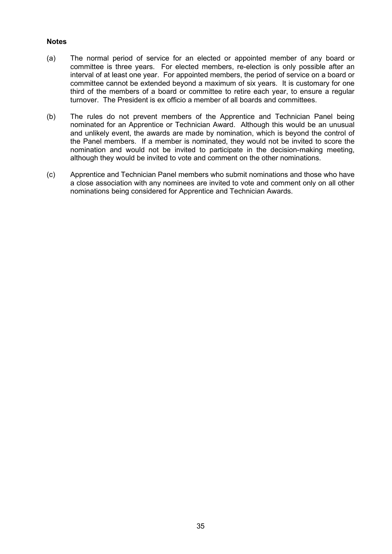## **Notes**

- (a) The normal period of service for an elected or appointed member of any board or committee is three years. For elected members, re-election is only possible after an interval of at least one year. For appointed members, the period of service on a board or committee cannot be extended beyond a maximum of six years. It is customary for one third of the members of a board or committee to retire each year, to ensure a regular turnover. The President is ex officio a member of all boards and committees.
- (b) The rules do not prevent members of the Apprentice and Technician Panel being nominated for an Apprentice or Technician Award. Although this would be an unusual and unlikely event, the awards are made by nomination, which is beyond the control of the Panel members. If a member is nominated, they would not be invited to score the nomination and would not be invited to participate in the decision-making meeting, although they would be invited to vote and comment on the other nominations.
- (c) Apprentice and Technician Panel members who submit nominations and those who have a close association with any nominees are invited to vote and comment only on all other nominations being considered for Apprentice and Technician Awards.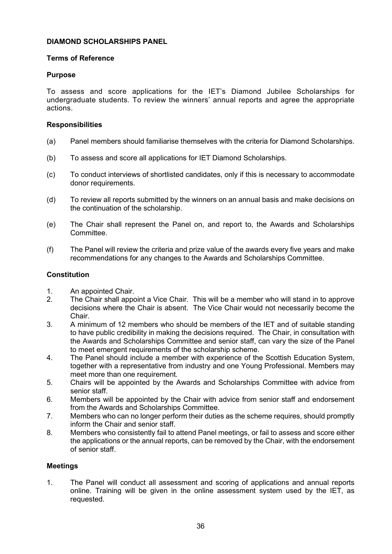# <span id="page-35-0"></span>**DIAMOND SCHOLARSHIPS PANEL**

# **Terms of Reference**

# **Purpose**

To assess and score applications for the IET's Diamond Jubilee Scholarships for undergraduate students. To review the winners' annual reports and agree the appropriate actions.

# **Responsibilities**

- (a) Panel members should familiarise themselves with the criteria for Diamond Scholarships.
- (b) To assess and score all applications for IET Diamond Scholarships.
- (c) To conduct interviews of shortlisted candidates, only if this is necessary to accommodate donor requirements.
- (d) To review all reports submitted by the winners on an annual basis and make decisions on the continuation of the scholarship.
- (e) The Chair shall represent the Panel on, and report to, the Awards and Scholarships Committee.
- (f) The Panel will review the criteria and prize value of the awards every five years and make recommendations for any changes to the Awards and Scholarships Committee.

# **Constitution**

- 1. An appointed Chair.<br>2. The Chair shall appo
- The Chair shall appoint a Vice Chair. This will be a member who will stand in to approve decisions where the Chair is absent. The Vice Chair would not necessarily become the Chair.
- 3. A minimum of 12 members who should be members of the IET and of suitable standing to have public credibility in making the decisions required. The Chair, in consultation with the Awards and Scholarships Committee and senior staff, can vary the size of the Panel to meet emergent requirements of the scholarship scheme.
- 4. The Panel should include a member with experience of the Scottish Education System, together with a representative from industry and one Young Professional. Members may meet more than one requirement.
- 5. Chairs will be appointed by the Awards and Scholarships Committee with advice from senior staff.
- 6. Members will be appointed by the Chair with advice from senior staff and endorsement from the Awards and Scholarships Committee.
- 7. Members who can no longer perform their duties as the scheme requires, should promptly inform the Chair and senior staff.
- 8. Members who consistently fail to attend Panel meetings, or fail to assess and score either the applications or the annual reports, can be removed by the Chair, with the endorsement of senior staff.

# **Meetings**

1. The Panel will conduct all assessment and scoring of applications and annual reports online. Training will be given in the online assessment system used by the IET, as requested.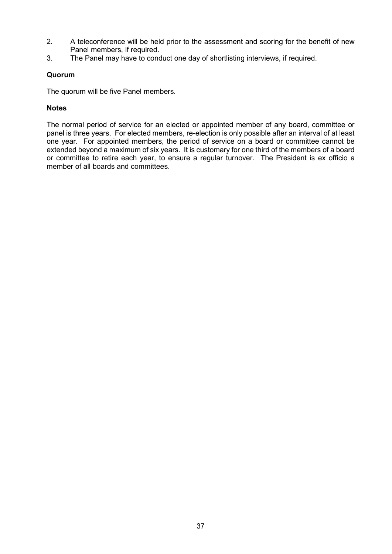- 2. A teleconference will be held prior to the assessment and scoring for the benefit of new Panel members, if required.
- 3. The Panel may have to conduct one day of shortlisting interviews, if required.

# **Quorum**

The quorum will be five Panel members.

# **Notes**

The normal period of service for an elected or appointed member of any board, committee or panel is three years. For elected members, re-election is only possible after an interval of at least one year. For appointed members, the period of service on a board or committee cannot be extended beyond a maximum of six years. It is customary for one third of the members of a board or committee to retire each year, to ensure a regular turnover. The President is ex officio a member of all boards and committees.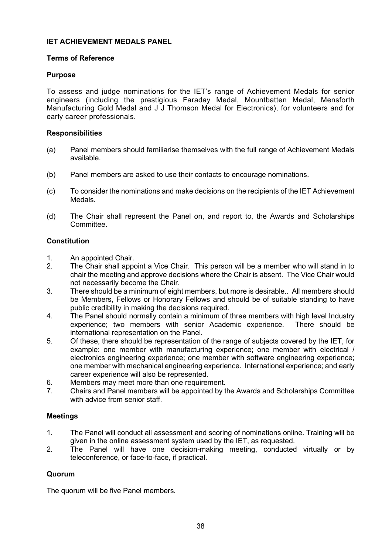## **IET ACHIEVEMENT MEDALS PANEL**

## **Terms of Reference**

## **Purpose**

To assess and judge nominations for the IET's range of Achievement Medals for senior engineers (including the prestigious Faraday Medal, Mountbatten Medal, Mensforth Manufacturing Gold Medal and J J Thomson Medal for Electronics), for volunteers and for early career professionals.

## **Responsibilities**

- (a) Panel members should familiarise themselves with the full range of Achievement Medals available.
- (b) Panel members are asked to use their contacts to encourage nominations.
- (c) To consider the nominations and make decisions on the recipients of the IET Achievement Medals.
- (d) The Chair shall represent the Panel on, and report to, the Awards and Scholarships Committee.

## **Constitution**

- 1. An appointed Chair.<br>2. The Chair shall appo
- The Chair shall appoint a Vice Chair. This person will be a member who will stand in to chair the meeting and approve decisions where the Chair is absent. The Vice Chair would not necessarily become the Chair.
- 3. There should be a minimum of eight members, but more is desirable.. All members should be Members, Fellows or Honorary Fellows and should be of suitable standing to have public credibility in making the decisions required.
- 4. The Panel should normally contain a minimum of three members with high level Industry<br>experience; two members with senior Academic experience. There should be experience; two members with senior Academic experience. international representation on the Panel.
- 5. Of these, there should be representation of the range of subjects covered by the IET, for example: one member with manufacturing experience; one member with electrical / electronics engineering experience; one member with software engineering experience; one member with mechanical engineering experience. International experience; and early career experience will also be represented.
- 6. Members may meet more than one requirement.
- 7. Chairs and Panel members will be appointed by the Awards and Scholarships Committee with advice from senior staff.

## **Meetings**

- 1. The Panel will conduct all assessment and scoring of nominations online. Training will be given in the online assessment system used by the IET, as requested.
- 2. The Panel will have one decision-making meeting, conducted virtually or by teleconference, or face-to-face, if practical.

## **Quorum**

The quorum will be five Panel members.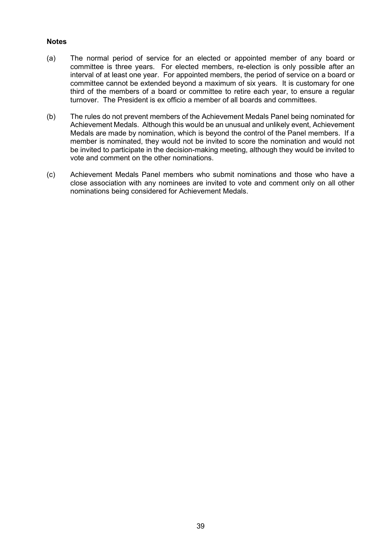## **Notes**

- (a) The normal period of service for an elected or appointed member of any board or committee is three years. For elected members, re-election is only possible after an interval of at least one year. For appointed members, the period of service on a board or committee cannot be extended beyond a maximum of six years. It is customary for one third of the members of a board or committee to retire each year, to ensure a regular turnover. The President is ex officio a member of all boards and committees.
- (b) The rules do not prevent members of the Achievement Medals Panel being nominated for Achievement Medals. Although this would be an unusual and unlikely event, Achievement Medals are made by nomination, which is beyond the control of the Panel members. If a member is nominated, they would not be invited to score the nomination and would not be invited to participate in the decision-making meeting, although they would be invited to vote and comment on the other nominations.
- (c) Achievement Medals Panel members who submit nominations and those who have a close association with any nominees are invited to vote and comment only on all other nominations being considered for Achievement Medals.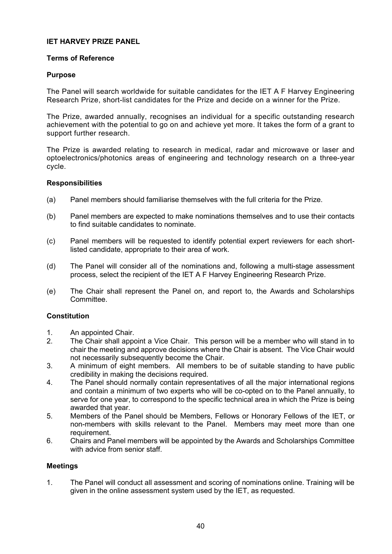## **IET HARVEY PRIZE PANEL**

## **Terms of Reference**

#### **Purpose**

The Panel will search worldwide for suitable candidates for the IET A F Harvey Engineering Research Prize, short-list candidates for the Prize and decide on a winner for the Prize.

The Prize, awarded annually, recognises an individual for a specific outstanding research achievement with the potential to go on and achieve yet more. It takes the form of a grant to support further research.

The Prize is awarded relating to research in medical, radar and microwave or laser and optoelectronics/photonics areas of engineering and technology research on a three-year cycle.

#### **Responsibilities**

- (a) Panel members should familiarise themselves with the full criteria for the Prize.
- (b) Panel members are expected to make nominations themselves and to use their contacts to find suitable candidates to nominate.
- (c) Panel members will be requested to identify potential expert reviewers for each shortlisted candidate, appropriate to their area of work.
- (d) The Panel will consider all of the nominations and, following a multi-stage assessment process, select the recipient of the IET A F Harvey Engineering Research Prize.
- (e) The Chair shall represent the Panel on, and report to, the Awards and Scholarships Committee.

## **Constitution**

- 1. An appointed Chair.
- 2. The Chair shall appoint a Vice Chair. This person will be a member who will stand in to chair the meeting and approve decisions where the Chair is absent. The Vice Chair would not necessarily subsequently become the Chair.
- 3. A minimum of eight members. All members to be of suitable standing to have public credibility in making the decisions required.
- 4. The Panel should normally contain representatives of all the major international regions and contain a minimum of two experts who will be co-opted on to the Panel annually, to serve for one year, to correspond to the specific technical area in which the Prize is being awarded that year.
- 5. Members of the Panel should be Members, Fellows or Honorary Fellows of the IET, or non-members with skills relevant to the Panel. Members may meet more than one requirement.
- 6. Chairs and Panel members will be appointed by the Awards and Scholarships Committee with advice from senior staff.

#### **Meetings**

1. The Panel will conduct all assessment and scoring of nominations online. Training will be given in the online assessment system used by the IET, as requested.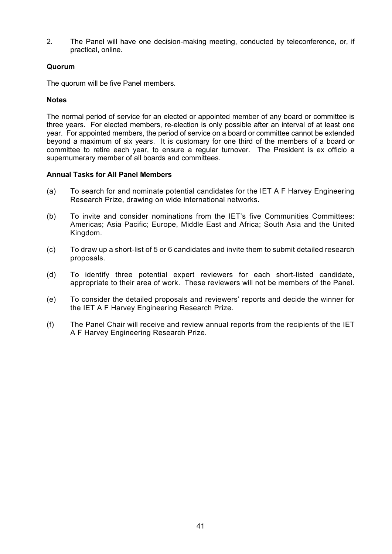2. The Panel will have one decision-making meeting, conducted by teleconference, or, if practical, online.

## **Quorum**

The quorum will be five Panel members.

# **Notes**

The normal period of service for an elected or appointed member of any board or committee is three years. For elected members, re-election is only possible after an interval of at least one year. For appointed members, the period of service on a board or committee cannot be extended beyond a maximum of six years. It is customary for one third of the members of a board or committee to retire each year, to ensure a regular turnover. The President is ex officio a supernumerary member of all boards and committees.

## **Annual Tasks for All Panel Members**

- (a) To search for and nominate potential candidates for the IET A F Harvey Engineering Research Prize, drawing on wide international networks.
- (b) To invite and consider nominations from the IET's five Communities Committees: Americas; Asia Pacific; Europe, Middle East and Africa; South Asia and the United Kingdom.
- (c) To draw up a short-list of 5 or 6 candidates and invite them to submit detailed research proposals.
- (d) To identify three potential expert reviewers for each short-listed candidate, appropriate to their area of work. These reviewers will not be members of the Panel.
- (e) To consider the detailed proposals and reviewers' reports and decide the winner for the IET A F Harvey Engineering Research Prize.
- (f) The Panel Chair will receive and review annual reports from the recipients of the IET A F Harvey Engineering Research Prize.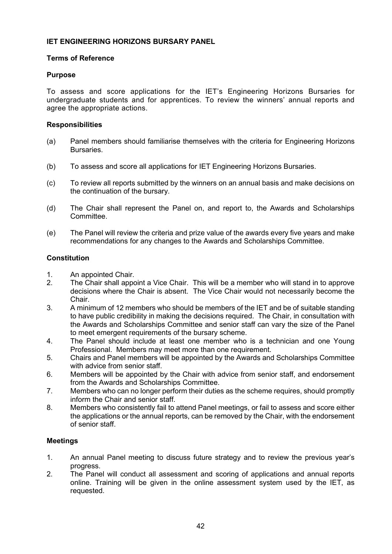# **IET ENGINEERING HORIZONS BURSARY PANEL**

## **Terms of Reference**

## **Purpose**

To assess and score applications for the IET's Engineering Horizons Bursaries for undergraduate students and for apprentices. To review the winners' annual reports and agree the appropriate actions.

## **Responsibilities**

- (a) Panel members should familiarise themselves with the criteria for Engineering Horizons Bursaries.
- (b) To assess and score all applications for IET Engineering Horizons Bursaries.
- (c) To review all reports submitted by the winners on an annual basis and make decisions on the continuation of the bursary.
- (d) The Chair shall represent the Panel on, and report to, the Awards and Scholarships Committee.
- (e) The Panel will review the criteria and prize value of the awards every five years and make recommendations for any changes to the Awards and Scholarships Committee.

## **Constitution**

- 1. An appointed Chair.
- 2. The Chair shall appoint a Vice Chair. This will be a member who will stand in to approve decisions where the Chair is absent. The Vice Chair would not necessarily become the Chair.
- 3. A minimum of 12 members who should be members of the IET and be of suitable standing to have public credibility in making the decisions required. The Chair, in consultation with the Awards and Scholarships Committee and senior staff can vary the size of the Panel to meet emergent requirements of the bursary scheme.
- 4. The Panel should include at least one member who is a technician and one Young Professional. Members may meet more than one requirement.
- 5. Chairs and Panel members will be appointed by the Awards and Scholarships Committee with advice from senior staff.
- 6. Members will be appointed by the Chair with advice from senior staff, and endorsement from the Awards and Scholarships Committee.
- 7. Members who can no longer perform their duties as the scheme requires, should promptly inform the Chair and senior staff.
- 8. Members who consistently fail to attend Panel meetings, or fail to assess and score either the applications or the annual reports, can be removed by the Chair, with the endorsement of senior staff.

# **Meetings**

- 1. An annual Panel meeting to discuss future strategy and to review the previous year's progress.
- 2. The Panel will conduct all assessment and scoring of applications and annual reports online. Training will be given in the online assessment system used by the IET, as requested.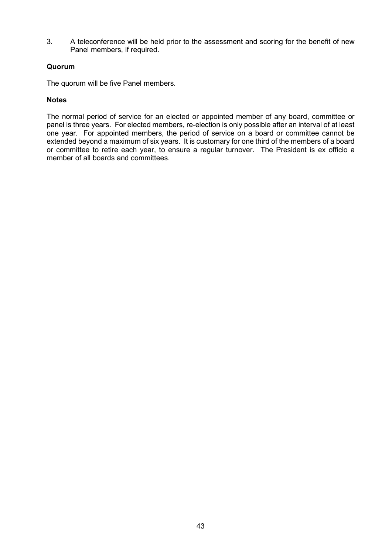3. A teleconference will be held prior to the assessment and scoring for the benefit of new Panel members, if required.

## **Quorum**

The quorum will be five Panel members.

## **Notes**

The normal period of service for an elected or appointed member of any board, committee or panel is three years. For elected members, re-election is only possible after an interval of at least one year. For appointed members, the period of service on a board or committee cannot be extended beyond a maximum of six years. It is customary for one third of the members of a board or committee to retire each year, to ensure a regular turnover. The President is ex officio a member of all boards and committees.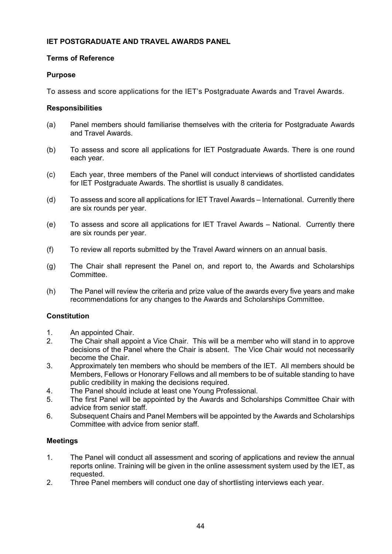## **IET POSTGRADUATE AND TRAVEL AWARDS PANEL**

## **Terms of Reference**

## **Purpose**

To assess and score applications for the IET's Postgraduate Awards and Travel Awards.

## **Responsibilities**

- (a) Panel members should familiarise themselves with the criteria for Postgraduate Awards and Travel Awards.
- (b) To assess and score all applications for IET Postgraduate Awards. There is one round each year.
- (c) Each year, three members of the Panel will conduct interviews of shortlisted candidates for IET Postgraduate Awards. The shortlist is usually 8 candidates.
- (d) To assess and score all applications for IET Travel Awards International. Currently there are six rounds per year.
- (e) To assess and score all applications for IET Travel Awards National. Currently there are six rounds per year.
- (f) To review all reports submitted by the Travel Award winners on an annual basis.
- (g) The Chair shall represent the Panel on, and report to, the Awards and Scholarships Committee.
- (h) The Panel will review the criteria and prize value of the awards every five years and make recommendations for any changes to the Awards and Scholarships Committee.

# **Constitution**

- 1. An appointed Chair.
- 2. The Chair shall appoint a Vice Chair. This will be a member who will stand in to approve decisions of the Panel where the Chair is absent. The Vice Chair would not necessarily become the Chair.
- 3. Approximately ten members who should be members of the IET. All members should be Members, Fellows or Honorary Fellows and all members to be of suitable standing to have public credibility in making the decisions required.
- 4. The Panel should include at least one Young Professional.
- 5. The first Panel will be appointed by the Awards and Scholarships Committee Chair with advice from senior staff.
- 6. Subsequent Chairs and Panel Members will be appointed by the Awards and Scholarships Committee with advice from senior staff.

# **Meetings**

- 1. The Panel will conduct all assessment and scoring of applications and review the annual reports online. Training will be given in the online assessment system used by the IET, as requested.
- 2. Three Panel members will conduct one day of shortlisting interviews each year.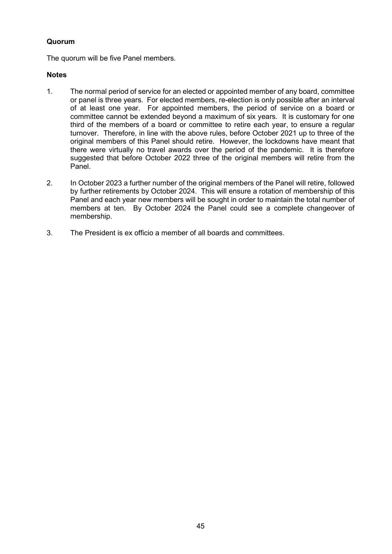# **Quorum**

The quorum will be five Panel members.

## **Notes**

- 1. The normal period of service for an elected or appointed member of any board, committee or panel is three years. For elected members, re-election is only possible after an interval of at least one year. For appointed members, the period of service on a board or committee cannot be extended beyond a maximum of six years. It is customary for one third of the members of a board or committee to retire each year, to ensure a regular turnover. Therefore, in line with the above rules, before October 2021 up to three of the original members of this Panel should retire. However, the lockdowns have meant that there were virtually no travel awards over the period of the pandemic. It is therefore suggested that before October 2022 three of the original members will retire from the Panel.
- 2. In October 2023 a further number of the original members of the Panel will retire, followed by further retirements by October 2024. This will ensure a rotation of membership of this Panel and each year new members will be sought in order to maintain the total number of members at ten. By October 2024 the Panel could see a complete changeover of membership.
- 3. The President is ex officio a member of all boards and committees.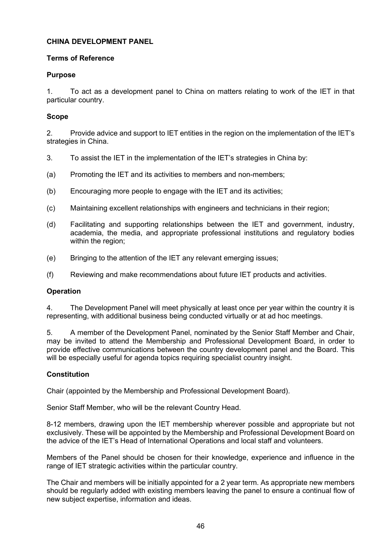## **CHINA DEVELOPMENT PANEL**

## **Terms of Reference**

## **Purpose**

1. To act as a development panel to China on matters relating to work of the IET in that particular country.

## **Scope**

2. Provide advice and support to IET entities in the region on the implementation of the IET's strategies in China.

- 3. To assist the IET in the implementation of the IET's strategies in China by:
- (a) Promoting the IET and its activities to members and non-members;
- (b) Encouraging more people to engage with the IET and its activities;
- (c) Maintaining excellent relationships with engineers and technicians in their region;
- (d) Facilitating and supporting relationships between the IET and government, industry, academia, the media, and appropriate professional institutions and regulatory bodies within the region;
- (e) Bringing to the attention of the IET any relevant emerging issues;
- (f) Reviewing and make recommendations about future IET products and activities.

# **Operation**

4. The Development Panel will meet physically at least once per year within the country it is representing, with additional business being conducted virtually or at ad hoc meetings.

5. A member of the Development Panel, nominated by the Senior Staff Member and Chair, may be invited to attend the Membership and Professional Development Board, in order to provide effective communications between the country development panel and the Board. This will be especially useful for agenda topics requiring specialist country insight.

## **Constitution**

Chair (appointed by the Membership and Professional Development Board).

Senior Staff Member, who will be the relevant Country Head.

8-12 members, drawing upon the IET membership wherever possible and appropriate but not exclusively. These will be appointed by the Membership and Professional Development Board on the advice of the IET's Head of International Operations and local staff and volunteers.

Members of the Panel should be chosen for their knowledge, experience and influence in the range of IET strategic activities within the particular country.

The Chair and members will be initially appointed for a 2 year term. As appropriate new members should be regularly added with existing members leaving the panel to ensure a continual flow of new subject expertise, information and ideas.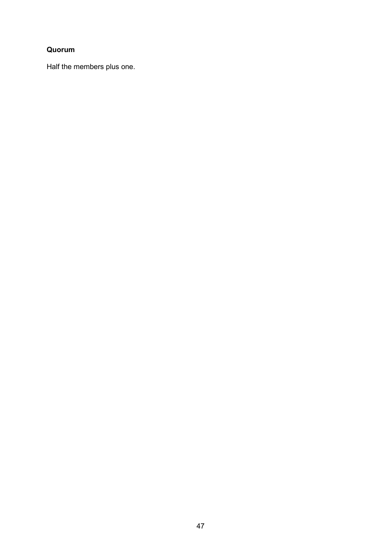# **Quorum**

Half the members plus one.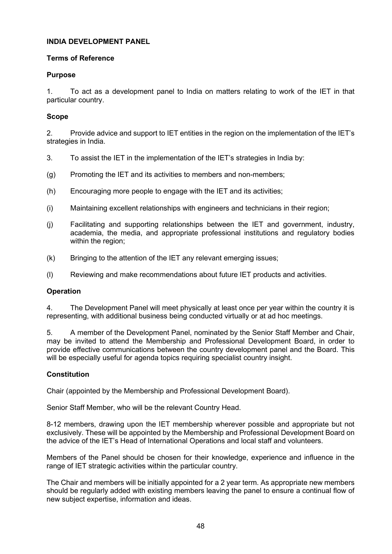## **INDIA DEVELOPMENT PANEL**

## **Terms of Reference**

## **Purpose**

1. To act as a development panel to India on matters relating to work of the IET in that particular country.

## **Scope**

2. Provide advice and support to IET entities in the region on the implementation of the IET's strategies in India.

- 3. To assist the IET in the implementation of the IET's strategies in India by:
- (g) Promoting the IET and its activities to members and non-members;
- (h) Encouraging more people to engage with the IET and its activities;
- (i) Maintaining excellent relationships with engineers and technicians in their region;
- (j) Facilitating and supporting relationships between the IET and government, industry, academia, the media, and appropriate professional institutions and regulatory bodies within the region;
- (k) Bringing to the attention of the IET any relevant emerging issues;
- (l) Reviewing and make recommendations about future IET products and activities.

## **Operation**

4. The Development Panel will meet physically at least once per year within the country it is representing, with additional business being conducted virtually or at ad hoc meetings.

5. A member of the Development Panel, nominated by the Senior Staff Member and Chair, may be invited to attend the Membership and Professional Development Board, in order to provide effective communications between the country development panel and the Board. This will be especially useful for agenda topics requiring specialist country insight.

## **Constitution**

Chair (appointed by the Membership and Professional Development Board).

Senior Staff Member, who will be the relevant Country Head.

8-12 members, drawing upon the IET membership wherever possible and appropriate but not exclusively. These will be appointed by the Membership and Professional Development Board on the advice of the IET's Head of International Operations and local staff and volunteers.

Members of the Panel should be chosen for their knowledge, experience and influence in the range of IET strategic activities within the particular country.

The Chair and members will be initially appointed for a 2 year term. As appropriate new members should be regularly added with existing members leaving the panel to ensure a continual flow of new subject expertise, information and ideas.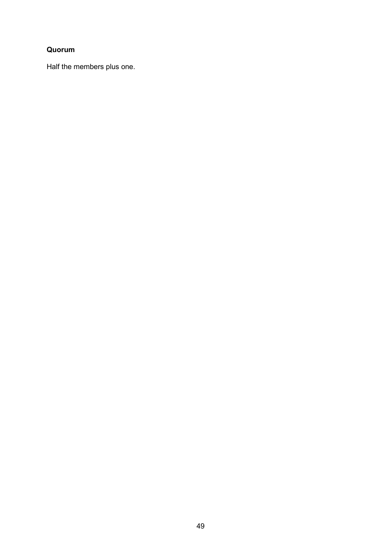# **Quorum**

Half the members plus one.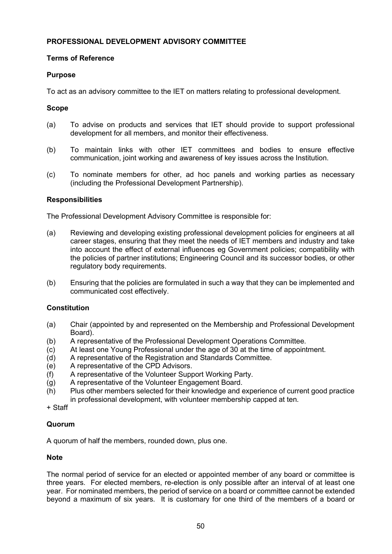## **PROFESSIONAL DEVELOPMENT ADVISORY COMMITTEE**

## **Terms of Reference**

## **Purpose**

To act as an advisory committee to the IET on matters relating to professional development.

## **Scope**

- (a) To advise on products and services that IET should provide to support professional development for all members, and monitor their effectiveness.
- (b) To maintain links with other IET committees and bodies to ensure effective communication, joint working and awareness of key issues across the Institution.
- (c) To nominate members for other, ad hoc panels and working parties as necessary (including the Professional Development Partnership).

## **Responsibilities**

The Professional Development Advisory Committee is responsible for:

- (a) Reviewing and developing existing professional development policies for engineers at all career stages, ensuring that they meet the needs of IET members and industry and take into account the effect of external influences eg Government policies; compatibility with the policies of partner institutions; Engineering Council and its successor bodies, or other regulatory body requirements.
- (b) Ensuring that the policies are formulated in such a way that they can be implemented and communicated cost effectively.

## **Constitution**

- (a) Chair (appointed by and represented on the Membership and Professional Development Board).
- (b) A representative of the Professional Development Operations Committee.<br>(c) At least one Young Professional under the age of 30 at the time of appoint
- (c) At least one Young Professional under the age of 30 at the time of appointment.<br>(d) A representative of the Registration and Standards Committee.
- (d) A representative of the Registration and Standards Committee.<br>(e) A representative of the CPD Advisors.
- A representative of the CPD Advisors.
- (f) A representative of the Volunteer Support Working Party.
- (g) A representative of the Volunteer Engagement Board.
- (h) Plus other members selected for their knowledge and experience of current good practice in professional development, with volunteer membership capped at ten.

+ Staff

## **Quorum**

A quorum of half the members, rounded down, plus one.

## **Note**

The normal period of service for an elected or appointed member of any board or committee is three years. For elected members, re-election is only possible after an interval of at least one year. For nominated members, the period of service on a board or committee cannot be extended beyond a maximum of six years. It is customary for one third of the members of a board or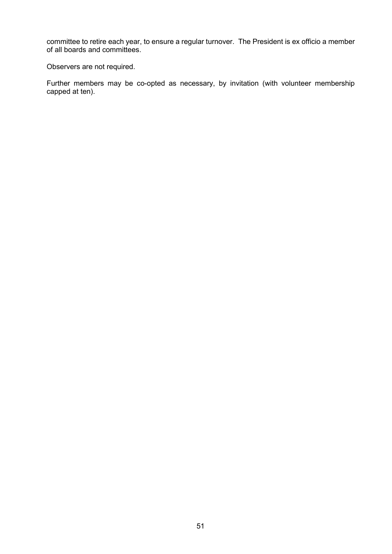committee to retire each year, to ensure a regular turnover. The President is ex officio a member of all boards and committees.

Observers are not required.

Further members may be co-opted as necessary, by invitation (with volunteer membership capped at ten).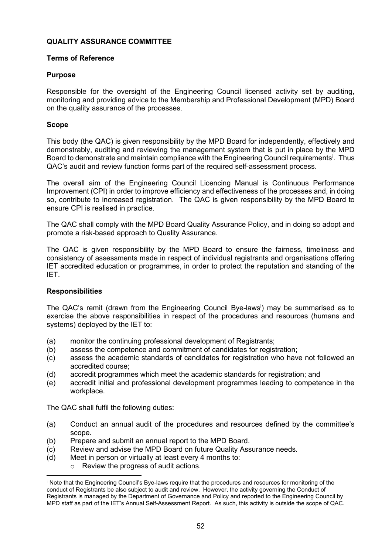## **QUALITY ASSURANCE COMMITTEE**

## **Terms of Reference**

## **Purpose**

Responsible for the oversight of the Engineering Council licensed activity set by auditing, monitoring and providing advice to the Membership and Professional Development (MPD) Board on the quality assurance of the processes.

## **Scope**

This body (the QAC) is given responsibility by the MPD Board for independently, effectively and demonstrably, auditing and reviewing the management system that is put in place by the MPD Board to demonstrate and ma[i](#page-51-0)ntain compliance with the Engineering Council requirements<sup>i</sup>. Thus QAC's audit and review function forms part of the required self-assessment process.

The overall aim of the Engineering Council Licencing Manual is Continuous Performance Improvement (CPI) in order to improve efficiency and effectiveness of the processes and, in doing so, contribute to increased registration. The QAC is given responsibility by the MPD Board to ensure CPI is realised in practice.

The QAC shall comply with the MPD Board Quality Assurance Policy, and in doing so adopt and promote a risk-based approach to Quality Assurance.

The QAC is given responsibility by the MPD Board to ensure the fairness, timeliness and consistency of assessments made in respect of individual registrants and organisations offering IET accredited education or programmes, in order to protect the reputation and standing of the IET.

## **Responsibilities**

The QAC's remit (drawn from the Engineering Council Bye-lawsi ) may be summarised as to exercise the above responsibilities in respect of the procedures and resources (humans and systems) deployed by the IET to:

- (a) monitor the continuing professional development of Registrants;
- (b) assess the competence and commitment of candidates for registration;<br>(c) assess the academic standards of candidates for registration who have
- assess the academic standards of candidates for registration who have not followed an accredited course;
- (d) accredit programmes which meet the academic standards for registration; and
- (e) accredit initial and professional development programmes leading to competence in the workplace.

The QAC shall fulfil the following duties:

- (a) Conduct an annual audit of the procedures and resources defined by the committee's scope.
- (b) Prepare and submit an annual report to the MPD Board.
- (c) Review and advise the MPD Board on future Quality Assurance needs.
- (d) Meet in person or virtually at least every 4 months to:
	- o Review the progress of audit actions.

<span id="page-51-0"></span><sup>i</sup> Note that the Engineering Council's Bye-laws require that the procedures and resources for monitoring of the conduct of Registrants be also subject to audit and review. However, the activity governing the Conduct of Registrants is managed by the Department of Governance and Policy and reported to the Engineering Council by MPD staff as part of the IET's Annual Self-Assessment Report. As such, this activity is outside the scope of QAC.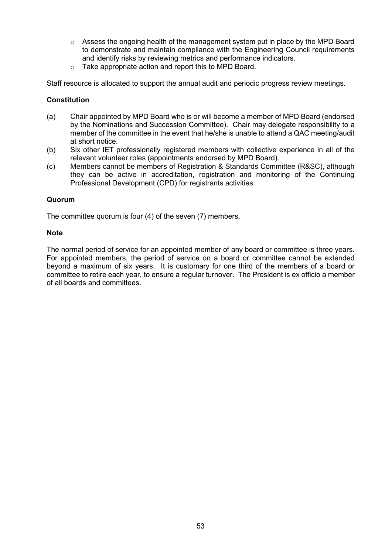- $\circ$  Assess the ongoing health of the management system put in place by the MPD Board to demonstrate and maintain compliance with the Engineering Council requirements and identify risks by reviewing metrics and performance indicators.
- o Take appropriate action and report this to MPD Board.

Staff resource is allocated to support the annual audit and periodic progress review meetings.

## **Constitution**

- (a) Chair appointed by MPD Board who is or will become a member of MPD Board (endorsed by the Nominations and Succession Committee). Chair may delegate responsibility to a member of the committee in the event that he/she is unable to attend a QAC meeting/audit at short notice.
- (b) Six other IET professionally registered members with collective experience in all of the relevant volunteer roles (appointments endorsed by MPD Board).
- (c) Members cannot be members of Registration & Standards Committee (R&SC), although they can be active in accreditation, registration and monitoring of the Continuing Professional Development (CPD) for registrants activities.

## **Quorum**

The committee quorum is four (4) of the seven (7) members.

#### **Note**

The normal period of service for an appointed member of any board or committee is three years. For appointed members, the period of service on a board or committee cannot be extended beyond a maximum of six years. It is customary for one third of the members of a board or committee to retire each year, to ensure a regular turnover. The President is ex officio a member of all boards and committees.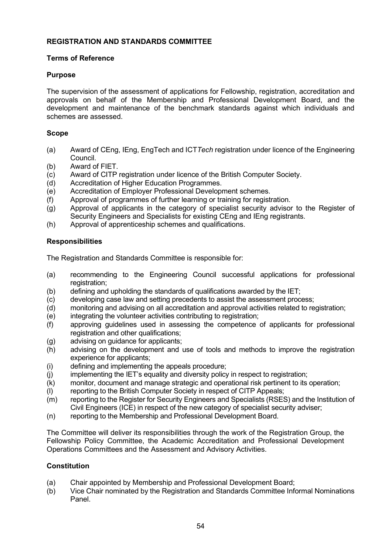## **REGISTRATION AND STANDARDS COMMITTEE**

## **Terms of Reference**

## **Purpose**

The supervision of the assessment of applications for Fellowship, registration, accreditation and approvals on behalf of the Membership and Professional Development Board, and the development and maintenance of the benchmark standards against which individuals and schemes are assessed.

## **Scope**

- (a) Award of CEng, IEng, EngTech and ICT*Tech* registration under licence of the Engineering Council.
- (b) Award of FIET.
- (c) Award of CITP registration under licence of the British Computer Society.<br>(d) Accreditation of Higher Education Programmes.
- (d) Accreditation of Higher Education Programmes.<br>(e) Accreditation of Employer Professional Developr
- Accreditation of Employer Professional Development schemes.
- (f) Approval of programmes of further learning or training for registration.
- (g) Approval of applicants in the category of specialist security advisor to the Register of Security Engineers and Specialists for existing CEng and IEng registrants.
- (h) Approval of apprenticeship schemes and qualifications.

## **Responsibilities**

The Registration and Standards Committee is responsible for:

- (a) recommending to the Engineering Council successful applications for professional registration;
- (b) defining and upholding the standards of qualifications awarded by the IET;<br>(c) developing case law and setting precedents to assist the assessment proc
- 
- (c) developing case law and setting precedents to assist the assessment process;<br>(d) monitoring and advising on all accreditation and approval activities related to re (d) monitoring and advising on all accreditation and approval activities related to registration;<br>(e) integrating the volunteer activities contributing to registration;
- integrating the volunteer activities contributing to registration;
- (f) approving guidelines used in assessing the competence of applicants for professional registration and other qualifications;
- (g) advising on guidance for applicants;
- (h) advising on the development and use of tools and methods to improve the registration experience for applicants;
- (i) defining and implementing the appeals procedure;<br>(i) implementing the IET's equality and diversity policy
- implementing the IET's equality and diversity policy in respect to registration;
- (k) monitor, document and manage strategic and operational risk pertinent to its operation;
- (l) reporting to the British Computer Society in respect of CITP Appeals;
- (m) reporting to the Register for Security Engineers and Specialists (RSES) and the Institution of Civil Engineers (ICE) in respect of the new category of specialist security adviser;
- (n) reporting to the Membership and Professional Development Board.

The Committee will deliver its responsibilities through the work of the Registration Group, the Fellowship Policy Committee, the Academic Accreditation and Professional Development Operations Committees and the Assessment and Advisory Activities.

# **Constitution**

- (a) Chair appointed by Membership and Professional Development Board;
- (b) Vice Chair nominated by the Registration and Standards Committee Informal Nominations Panel.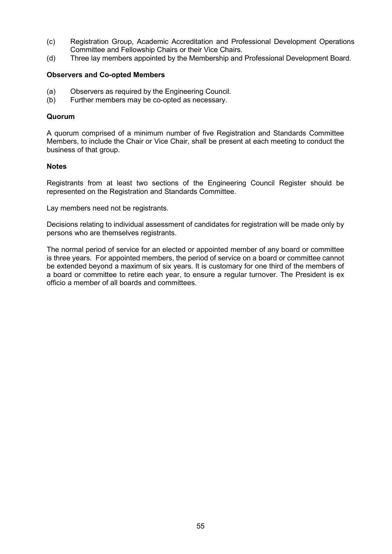- (c) Registration Group, Academic Accreditation and Professional Development Operations Committee and Fellowship Chairs or their Vice Chairs.
- (d) Three lay members appointed by the Membership and Professional Development Board.

#### **Observers and Co-opted Members**

- (a) Observers as required by the Engineering Council.<br>(b) Further members may be co-opted as necessary.
- Further members may be co-opted as necessary.

#### **Quorum**

A quorum comprised of a minimum number of five Registration and Standards Committee Members, to include the Chair or Vice Chair, shall be present at each meeting to conduct the business of that group.

#### **Notes**

Registrants from at least two sections of the Engineering Council Register should be represented on the Registration and Standards Committee.

Lay members need not be registrants.

Decisions relating to individual assessment of candidates for registration will be made only by persons who are themselves registrants.

The normal period of service for an elected or appointed member of any board or committee is three years. For appointed members, the period of service on a board or committee cannot be extended beyond a maximum of six years. It is customary for one third of the members of a board or committee to retire each year, to ensure a regular turnover. The President is ex officio a member of all boards and committees.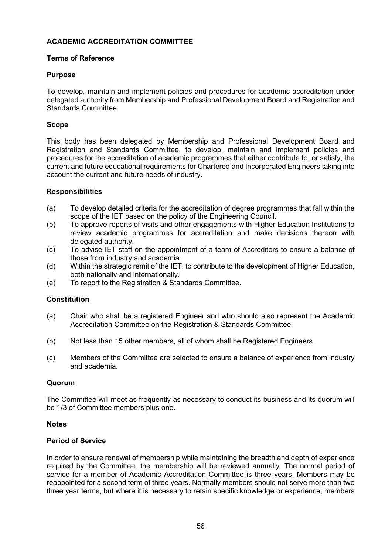# **ACADEMIC ACCREDITATION COMMITTEE**

### **Terms of Reference**

#### **Purpose**

To develop, maintain and implement policies and procedures for academic accreditation under delegated authority from Membership and Professional Development Board and Registration and Standards Committee.

### **Scope**

This body has been delegated by Membership and Professional Development Board and Registration and Standards Committee, to develop, maintain and implement policies and procedures for the accreditation of academic programmes that either contribute to, or satisfy, the current and future educational requirements for Chartered and Incorporated Engineers taking into account the current and future needs of industry.

#### **Responsibilities**

- (a) To develop detailed criteria for the accreditation of degree programmes that fall within the scope of the IET based on the policy of the Engineering Council.
- (b) To approve reports of visits and other engagements with Higher Education Institutions to review academic programmes for accreditation and make decisions thereon with delegated authority.
- (c) To advise IET staff on the appointment of a team of Accreditors to ensure a balance of those from industry and academia.
- (d) Within the strategic remit of the IET, to contribute to the development of Higher Education, both nationally and internationally.
- (e) To report to the Registration & Standards Committee.

#### **Constitution**

- (a) Chair who shall be a registered Engineer and who should also represent the Academic Accreditation Committee on the Registration & Standards Committee.
- (b) Not less than 15 other members, all of whom shall be Registered Engineers.
- (c) Members of the Committee are selected to ensure a balance of experience from industry and academia.

#### **Quorum**

The Committee will meet as frequently as necessary to conduct its business and its quorum will be 1/3 of Committee members plus one.

#### **Notes**

#### **Period of Service**

In order to ensure renewal of membership while maintaining the breadth and depth of experience required by the Committee, the membership will be reviewed annually. The normal period of service for a member of Academic Accreditation Committee is three years. Members may be reappointed for a second term of three years. Normally members should not serve more than two three year terms, but where it is necessary to retain specific knowledge or experience, members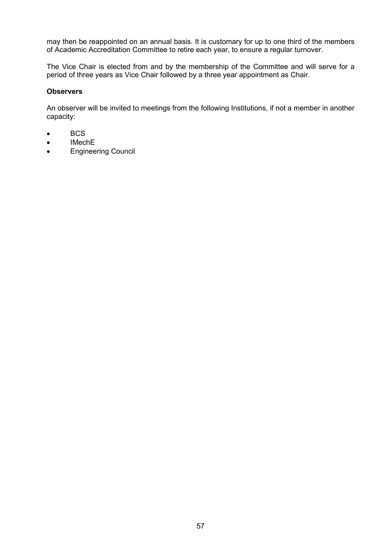may then be reappointed on an annual basis. It is customary for up to one third of the members of Academic Accreditation Committee to retire each year, to ensure a regular turnover.

The Vice Chair is elected from and by the membership of the Committee and will serve for a period of three years as Vice Chair followed by a three year appointment as Chair.

## **Observers**

An observer will be invited to meetings from the following Institutions, if not a member in another capacity:

- BCS
- IMechE
- Engineering Council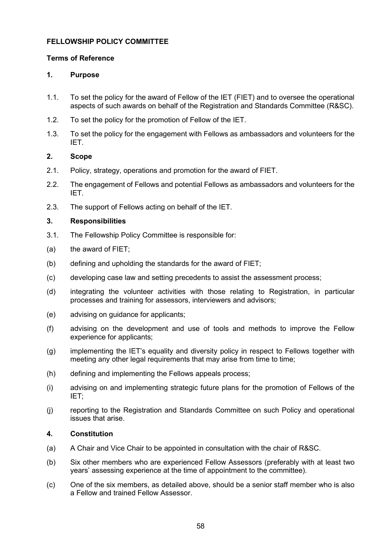# **FELLOWSHIP POLICY COMMITTEE**

## **Terms of Reference**

## **1. Purpose**

- 1.1. To set the policy for the award of Fellow of the IET (FIET) and to oversee the operational aspects of such awards on behalf of the Registration and Standards Committee (R&SC).
- 1.2. To set the policy for the promotion of Fellow of the IET.
- 1.3. To set the policy for the engagement with Fellows as ambassadors and volunteers for the IET.

## **2. Scope**

- 2.1. Policy, strategy, operations and promotion for the award of FIET.
- 2.2. The engagement of Fellows and potential Fellows as ambassadors and volunteers for the IET.
- 2.3. The support of Fellows acting on behalf of the IET.

## **3. Responsibilities**

- 3.1. The Fellowship Policy Committee is responsible for:
- (a) the award of FIET;
- (b) defining and upholding the standards for the award of FIET;
- (c) developing case law and setting precedents to assist the assessment process;
- (d) integrating the volunteer activities with those relating to Registration, in particular processes and training for assessors, interviewers and advisors;
- (e) advising on guidance for applicants;
- (f) advising on the development and use of tools and methods to improve the Fellow experience for applicants;
- (g) implementing the IET's equality and diversity policy in respect to Fellows together with meeting any other legal requirements that may arise from time to time;
- (h) defining and implementing the Fellows appeals process;
- (i) advising on and implementing strategic future plans for the promotion of Fellows of the IET;
- (j) reporting to the Registration and Standards Committee on such Policy and operational issues that arise.

# **4. Constitution**

- (a) A Chair and Vice Chair to be appointed in consultation with the chair of R&SC.
- (b) Six other members who are experienced Fellow Assessors (preferably with at least two years' assessing experience at the time of appointment to the committee).
- (c) One of the six members, as detailed above, should be a senior staff member who is also a Fellow and trained Fellow Assessor.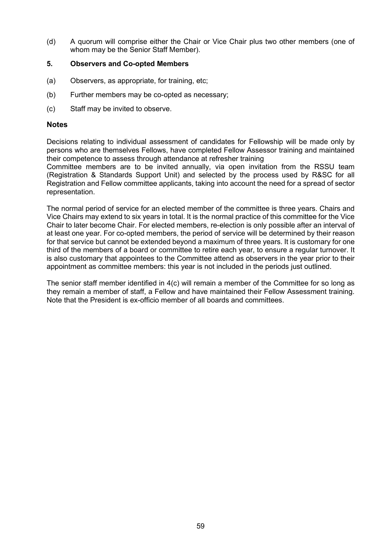(d) A quorum will comprise either the Chair or Vice Chair plus two other members (one of whom may be the Senior Staff Member).

### **5. Observers and Co-opted Members**

- (a) Observers, as appropriate, for training, etc;
- (b) Further members may be co-opted as necessary;
- (c) Staff may be invited to observe.

#### **Notes**

Decisions relating to individual assessment of candidates for Fellowship will be made only by persons who are themselves Fellows, have completed Fellow Assessor training and maintained their competence to assess through attendance at refresher training

Committee members are to be invited annually, via open invitation from the RSSU team (Registration & Standards Support Unit) and selected by the process used by R&SC for all Registration and Fellow committee applicants, taking into account the need for a spread of sector representation.

The normal period of service for an elected member of the committee is three years. Chairs and Vice Chairs may extend to six years in total. It is the normal practice of this committee for the Vice Chair to later become Chair. For elected members, re-election is only possible after an interval of at least one year. For co-opted members, the period of service will be determined by their reason for that service but cannot be extended beyond a maximum of three years. It is customary for one third of the members of a board or committee to retire each year, to ensure a regular turnover. It is also customary that appointees to the Committee attend as observers in the year prior to their appointment as committee members: this year is not included in the periods just outlined.

The senior staff member identified in 4(c) will remain a member of the Committee for so long as they remain a member of staff, a Fellow and have maintained their Fellow Assessment training. Note that the President is ex-officio member of all boards and committees.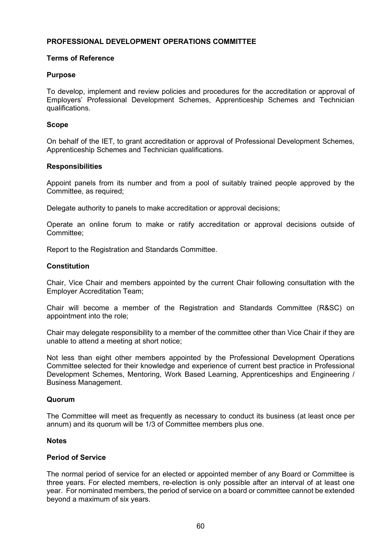## **PROFESSIONAL DEVELOPMENT OPERATIONS COMMITTEE**

### **Terms of Reference**

#### **Purpose**

To develop, implement and review policies and procedures for the accreditation or approval of Employers' Professional Development Schemes, Apprenticeship Schemes and Technician qualifications.

#### **Scope**

On behalf of the IET, to grant accreditation or approval of Professional Development Schemes, Apprenticeship Schemes and Technician qualifications.

#### **Responsibilities**

Appoint panels from its number and from a pool of suitably trained people approved by the Committee, as required;

Delegate authority to panels to make accreditation or approval decisions;

Operate an online forum to make or ratify accreditation or approval decisions outside of Committee;

Report to the Registration and Standards Committee.

#### **Constitution**

Chair, Vice Chair and members appointed by the current Chair following consultation with the Employer Accreditation Team;

Chair will become a member of the Registration and Standards Committee (R&SC) on appointment into the role;

Chair may delegate responsibility to a member of the committee other than Vice Chair if they are unable to attend a meeting at short notice;

Not less than eight other members appointed by the Professional Development Operations Committee selected for their knowledge and experience of current best practice in Professional Development Schemes, Mentoring, Work Based Learning, Apprenticeships and Engineering / Business Management.

#### **Quorum**

The Committee will meet as frequently as necessary to conduct its business (at least once per annum) and its quorum will be 1/3 of Committee members plus one.

#### **Notes**

#### **Period of Service**

The normal period of service for an elected or appointed member of any Board or Committee is three years. For elected members, re-election is only possible after an interval of at least one year. For nominated members, the period of service on a board or committee cannot be extended beyond a maximum of six years.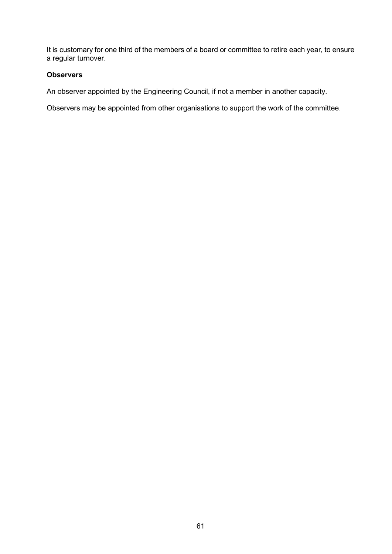It is customary for one third of the members of a board or committee to retire each year, to ensure a regular turnover.

## **Observers**

An observer appointed by the Engineering Council, if not a member in another capacity.

Observers may be appointed from other organisations to support the work of the committee.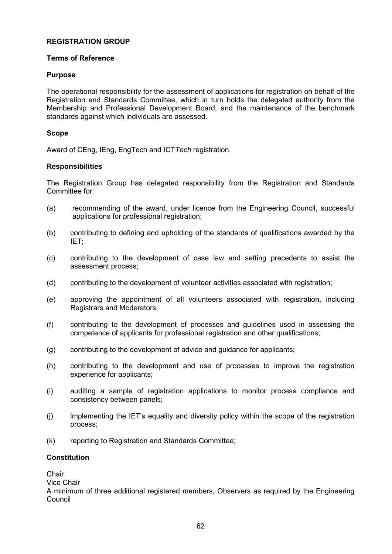## **REGISTRATION GROUP**

## **Terms of Reference**

## **Purpose**

The operational responsibility for the assessment of applications for registration on behalf of the Registration and Standards Committee, which in turn holds the delegated authority from the Membership and Professional Development Board, and the maintenance of the benchmark standards against which individuals are assessed.

## **Scope**

Award of CEng, IEng, EngTech and ICT*Tech* registration.

## **Responsibilities**

The Registration Group has delegated responsibility from the Registration and Standards Committee for:

- (a) recommending of the award, under licence from the Engineering Council, successful applications for professional registration;
- (b) contributing to defining and upholding of the standards of qualifications awarded by the IET;
- (c) contributing to the development of case law and setting precedents to assist the assessment process;
- (d) contributing to the development of volunteer activities associated with registration;
- (e) approving the appointment of all volunteers associated with registration, including Registrars and Moderators;
- (f) contributing to the development of processes and guidelines used in assessing the competence of applicants for professional registration and other qualifications;
- (g) contributing to the development of advice and guidance for applicants;
- (h) contributing to the development and use of processes to improve the registration experience for applicants;
- (i) auditing a sample of registration applications to monitor process compliance and consistency between panels;
- (j) implementing the IET's equality and diversity policy within the scope of the registration process;
- (k) reporting to Registration and Standards Committee;

## **Constitution**

**Chair** 

Vice Chair

A minimum of three additional registered members, Observers as required by the Engineering Council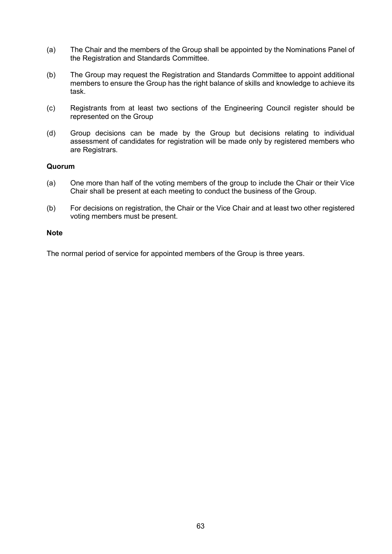- (a) The Chair and the members of the Group shall be appointed by the Nominations Panel of the Registration and Standards Committee.
- (b) The Group may request the Registration and Standards Committee to appoint additional members to ensure the Group has the right balance of skills and knowledge to achieve its task.
- (c) Registrants from at least two sections of the Engineering Council register should be represented on the Group
- (d) Group decisions can be made by the Group but decisions relating to individual assessment of candidates for registration will be made only by registered members who are Registrars.

## **Quorum**

- (a) One more than half of the voting members of the group to include the Chair or their Vice Chair shall be present at each meeting to conduct the business of the Group.
- (b) For decisions on registration, the Chair or the Vice Chair and at least two other registered voting members must be present.

#### **Note**

The normal period of service for appointed members of the Group is three years.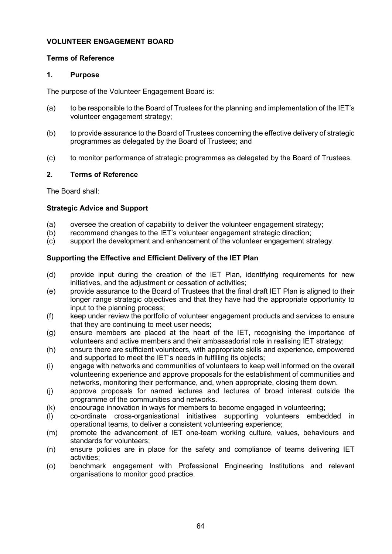## **VOLUNTEER ENGAGEMENT BOARD**

## **Terms of Reference**

## **1. Purpose**

The purpose of the Volunteer Engagement Board is:

- (a) to be responsible to the Board of Trustees for the planning and implementation of the IET's volunteer engagement strategy;
- (b) to provide assurance to the Board of Trustees concerning the effective delivery of strategic programmes as delegated by the Board of Trustees; and
- (c) to monitor performance of strategic programmes as delegated by the Board of Trustees.

## **2. Terms of Reference**

The Board shall:

## **Strategic Advice and Support**

- (a) oversee the creation of capability to deliver the volunteer engagement strategy;
- (b) recommend changes to the IET's volunteer engagement strategic direction;<br>(c) support the development and enhancement of the volunteer engagement st
- support the development and enhancement of the volunteer engagement strategy.

# **Supporting the Effective and Efficient Delivery of the IET Plan**

- (d) provide input during the creation of the IET Plan, identifying requirements for new initiatives, and the adjustment or cessation of activities;
- (e) provide assurance to the Board of Trustees that the final draft IET Plan is aligned to their longer range strategic objectives and that they have had the appropriate opportunity to input to the planning process;
- (f) keep under review the portfolio of volunteer engagement products and services to ensure that they are continuing to meet user needs;
- (g) ensure members are placed at the heart of the IET, recognising the importance of volunteers and active members and their ambassadorial role in realising IET strategy;
- (h) ensure there are sufficient volunteers, with appropriate skills and experience, empowered and supported to meet the IET's needs in fulfilling its objects;
- (i) engage with networks and communities of volunteers to keep well informed on the overall volunteering experience and approve proposals for the establishment of communities and networks, monitoring their performance, and, when appropriate, closing them down.
- (j) approve proposals for named lectures and lectures of broad interest outside the programme of the communities and networks.
- (k) encourage innovation in ways for members to become engaged in volunteering;
- (l) co-ordinate cross-organisational initiatives supporting volunteers embedded in operational teams, to deliver a consistent volunteering experience;
- (m) promote the advancement of IET one-team working culture, values, behaviours and standards for volunteers;
- (n) ensure policies are in place for the safety and compliance of teams delivering IET activities;
- (o) benchmark engagement with Professional Engineering Institutions and relevant organisations to monitor good practice.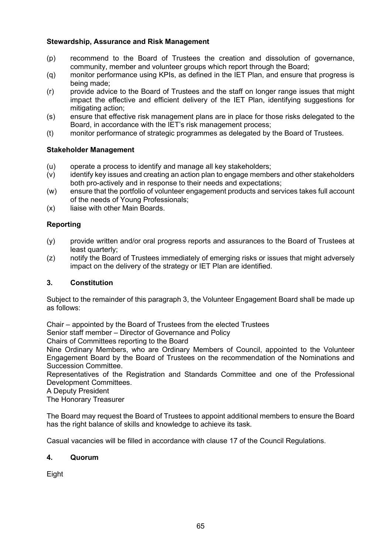## **Stewardship, Assurance and Risk Management**

- (p) recommend to the Board of Trustees the creation and dissolution of governance, community, member and volunteer groups which report through the Board;
- (q) monitor performance using KPIs, as defined in the IET Plan, and ensure that progress is being made;
- (r) provide advice to the Board of Trustees and the staff on longer range issues that might impact the effective and efficient delivery of the IET Plan, identifying suggestions for mitigating action;
- (s) ensure that effective risk management plans are in place for those risks delegated to the Board, in accordance with the IET's risk management process;
- (t) monitor performance of strategic programmes as delegated by the Board of Trustees.

## **Stakeholder Management**

- (u) operate a process to identify and manage all key stakeholders;
- (v) identify key issues and creating an action plan to engage members and other stakeholders both pro-actively and in response to their needs and expectations;
- (w) ensure that the portfolio of volunteer engagement products and services takes full account of the needs of Young Professionals;
- (x) liaise with other Main Boards.

# **Reporting**

- (y) provide written and/or oral progress reports and assurances to the Board of Trustees at least quarterly;
- (z) notify the Board of Trustees immediately of emerging risks or issues that might adversely impact on the delivery of the strategy or IET Plan are identified.

## **3. Constitution**

Subject to the remainder of this paragraph 3, the Volunteer Engagement Board shall be made up as follows:

Chair – appointed by the Board of Trustees from the elected Trustees

Senior staff member – Director of Governance and Policy

Chairs of Committees reporting to the Board

Nine Ordinary Members, who are Ordinary Members of Council, appointed to the Volunteer Engagement Board by the Board of Trustees on the recommendation of the Nominations and Succession Committee.

Representatives of the Registration and Standards Committee and one of the Professional Development Committees.

A Deputy President

The Honorary Treasurer

The Board may request the Board of Trustees to appoint additional members to ensure the Board has the right balance of skills and knowledge to achieve its task.

Casual vacancies will be filled in accordance with clause 17 of the Council Regulations.

## **4. Quorum**

Eight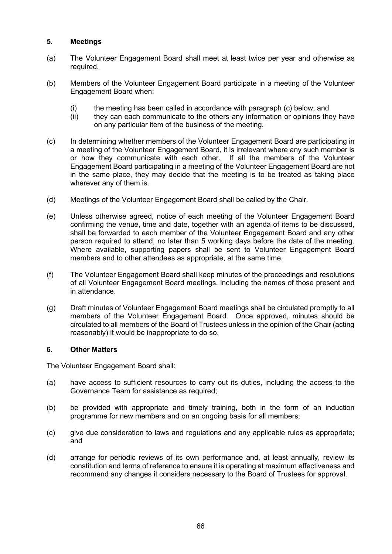## **5. Meetings**

- (a) The Volunteer Engagement Board shall meet at least twice per year and otherwise as required.
- (b) Members of the Volunteer Engagement Board participate in a meeting of the Volunteer Engagement Board when:
	- (i) the meeting has been called in accordance with paragraph (c) below; and  $(ii)$  they can each communicate to the others any information or opinions the
	- they can each communicate to the others any information or opinions they have on any particular item of the business of the meeting.
- (c) In determining whether members of the Volunteer Engagement Board are participating in a meeting of the Volunteer Engagement Board, it is irrelevant where any such member is or how they communicate with each other. If all the members of the Volunteer Engagement Board participating in a meeting of the Volunteer Engagement Board are not in the same place, they may decide that the meeting is to be treated as taking place wherever any of them is.
- (d) Meetings of the Volunteer Engagement Board shall be called by the Chair.
- (e) Unless otherwise agreed, notice of each meeting of the Volunteer Engagement Board confirming the venue, time and date, together with an agenda of items to be discussed, shall be forwarded to each member of the Volunteer Engagement Board and any other person required to attend, no later than 5 working days before the date of the meeting. Where available, supporting papers shall be sent to Volunteer Engagement Board members and to other attendees as appropriate, at the same time.
- (f) The Volunteer Engagement Board shall keep minutes of the proceedings and resolutions of all Volunteer Engagement Board meetings, including the names of those present and in attendance.
- (g) Draft minutes of Volunteer Engagement Board meetings shall be circulated promptly to all members of the Volunteer Engagement Board. Once approved, minutes should be circulated to all members of the Board of Trustees unless in the opinion of the Chair (acting reasonably) it would be inappropriate to do so.

## **6. Other Matters**

The Volunteer Engagement Board shall:

- (a) have access to sufficient resources to carry out its duties, including the access to the Governance Team for assistance as required;
- (b) be provided with appropriate and timely training, both in the form of an induction programme for new members and on an ongoing basis for all members;
- (c) give due consideration to laws and regulations and any applicable rules as appropriate; and
- (d) arrange for periodic reviews of its own performance and, at least annually, review its constitution and terms of reference to ensure it is operating at maximum effectiveness and recommend any changes it considers necessary to the Board of Trustees for approval.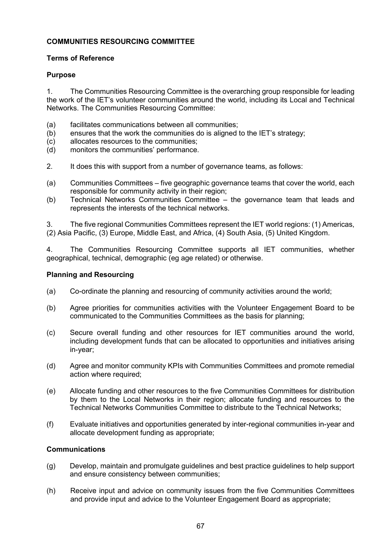# **COMMUNITIES RESOURCING COMMITTEE**

## **Terms of Reference**

## **Purpose**

1. The Communities Resourcing Committee is the overarching group responsible for leading the work of the IET's volunteer communities around the world, including its Local and Technical Networks. The Communities Resourcing Committee:

- (a) facilitates communications between all communities;<br>(b) ensures that the work the communities do is aligned
- (b) ensures that the work the communities do is aligned to the IET's strategy;  $(c)$  allocates resources to the communities;
- (c) allocates resources to the communities;<br>(d) monitors the communities' performance.
- monitors the communities' performance.
- 2. It does this with support from a number of governance teams, as follows:
- (a) Communities Committees five geographic governance teams that cover the world, each responsible for community activity in their region;
- (b) Technical Networks Communities Committee the governance team that leads and represents the interests of the technical networks.

3. The five regional Communities Committees represent the IET world regions: (1) Americas, (2) Asia Pacific, (3) Europe, Middle East, and Africa, (4) South Asia, (5) United Kingdom.

4. The Communities Resourcing Committee supports all IET communities, whether geographical, technical, demographic (eg age related) or otherwise.

### **Planning and Resourcing**

- (a) Co-ordinate the planning and resourcing of community activities around the world;
- (b) Agree priorities for communities activities with the Volunteer Engagement Board to be communicated to the Communities Committees as the basis for planning;
- (c) Secure overall funding and other resources for IET communities around the world, including development funds that can be allocated to opportunities and initiatives arising in-year;
- (d) Agree and monitor community KPIs with Communities Committees and promote remedial action where required;
- (e) Allocate funding and other resources to the five Communities Committees for distribution by them to the Local Networks in their region; allocate funding and resources to the Technical Networks Communities Committee to distribute to the Technical Networks;
- (f) Evaluate initiatives and opportunities generated by inter-regional communities in-year and allocate development funding as appropriate;

## **Communications**

- (g) Develop, maintain and promulgate guidelines and best practice guidelines to help support and ensure consistency between communities;
- (h) Receive input and advice on community issues from the five Communities Committees and provide input and advice to the Volunteer Engagement Board as appropriate;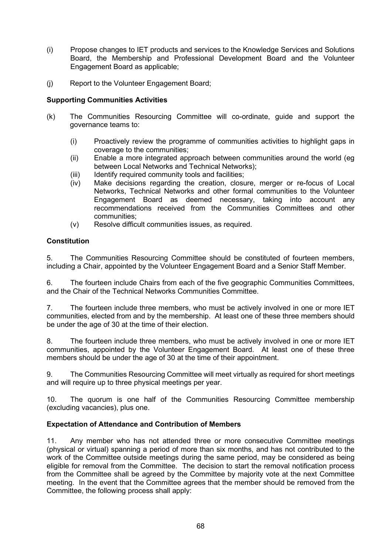- (i) Propose changes to IET products and services to the Knowledge Services and Solutions Board, the Membership and Professional Development Board and the Volunteer Engagement Board as applicable;
- (j) Report to the Volunteer Engagement Board;

# **Supporting Communities Activities**

- (k) The Communities Resourcing Committee will co-ordinate, guide and support the governance teams to:
	- (i) Proactively review the programme of communities activities to highlight gaps in coverage to the communities;
	- (ii) Enable a more integrated approach between communities around the world (eg between Local Networks and Technical Networks);
	- (iii) Identify required community tools and facilities;<br>(iv) Make decisions regarding the creation, closu
	- Make decisions regarding the creation, closure, merger or re-focus of Local Networks, Technical Networks and other formal communities to the Volunteer Engagement Board as deemed necessary, taking into account any recommendations received from the Communities Committees and other communities;
	- (v) Resolve difficult communities issues, as required.

## **Constitution**

5. The Communities Resourcing Committee should be constituted of fourteen members, including a Chair, appointed by the Volunteer Engagement Board and a Senior Staff Member.

6. The fourteen include Chairs from each of the five geographic Communities Committees, and the Chair of the Technical Networks Communities Committee.

7. The fourteen include three members, who must be actively involved in one or more IET communities, elected from and by the membership. At least one of these three members should be under the age of 30 at the time of their election.

8. The fourteen include three members, who must be actively involved in one or more IET communities, appointed by the Volunteer Engagement Board. At least one of these three members should be under the age of 30 at the time of their appointment.

9. The Communities Resourcing Committee will meet virtually as required for short meetings and will require up to three physical meetings per year.

10. The quorum is one half of the Communities Resourcing Committee membership (excluding vacancies), plus one.

## **Expectation of Attendance and Contribution of Members**

11. Any member who has not attended three or more consecutive Committee meetings (physical or virtual) spanning a period of more than six months, and has not contributed to the work of the Committee outside meetings during the same period, may be considered as being eligible for removal from the Committee. The decision to start the removal notification process from the Committee shall be agreed by the Committee by majority vote at the next Committee meeting. In the event that the Committee agrees that the member should be removed from the Committee, the following process shall apply: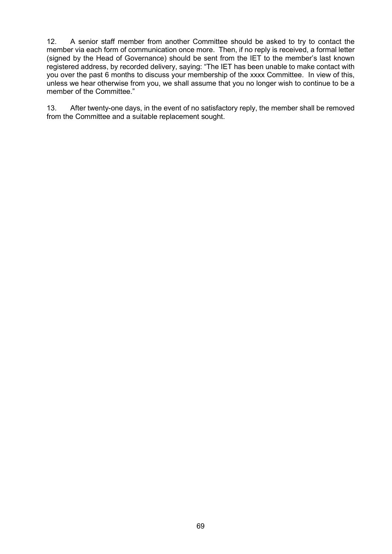12. A senior staff member from another Committee should be asked to try to contact the member via each form of communication once more. Then, if no reply is received, a formal letter (signed by the Head of Governance) should be sent from the IET to the member's last known registered address, by recorded delivery, saying: "The IET has been unable to make contact with you over the past 6 months to discuss your membership of the xxxx Committee. In view of this, unless we hear otherwise from you, we shall assume that you no longer wish to continue to be a member of the Committee."

13. After twenty-one days, in the event of no satisfactory reply, the member shall be removed from the Committee and a suitable replacement sought.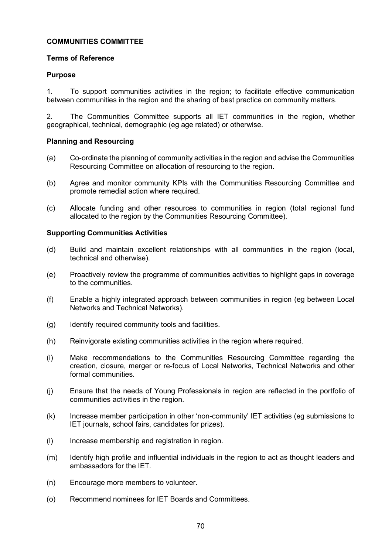## **COMMUNITIES COMMITTEE**

## **Terms of Reference**

## **Purpose**

1. To support communities activities in the region; to facilitate effective communication between communities in the region and the sharing of best practice on community matters.

2. The Communities Committee supports all IET communities in the region, whether geographical, technical, demographic (eg age related) or otherwise.

## **Planning and Resourcing**

- (a) Co-ordinate the planning of community activities in the region and advise the Communities Resourcing Committee on allocation of resourcing to the region.
- (b) Agree and monitor community KPIs with the Communities Resourcing Committee and promote remedial action where required.
- (c) Allocate funding and other resources to communities in region (total regional fund allocated to the region by the Communities Resourcing Committee).

## **Supporting Communities Activities**

- (d) Build and maintain excellent relationships with all communities in the region (local, technical and otherwise).
- (e) Proactively review the programme of communities activities to highlight gaps in coverage to the communities.
- (f) Enable a highly integrated approach between communities in region (eg between Local Networks and Technical Networks).
- (g) Identify required community tools and facilities.
- (h) Reinvigorate existing communities activities in the region where required.
- (i) Make recommendations to the Communities Resourcing Committee regarding the creation, closure, merger or re-focus of Local Networks, Technical Networks and other formal communities.
- (j) Ensure that the needs of Young Professionals in region are reflected in the portfolio of communities activities in the region.
- (k) Increase member participation in other 'non-community' IET activities (eg submissions to IET journals, school fairs, candidates for prizes).
- (l) Increase membership and registration in region.
- (m) Identify high profile and influential individuals in the region to act as thought leaders and ambassadors for the IET.
- (n) Encourage more members to volunteer.
- (o) Recommend nominees for IET Boards and Committees.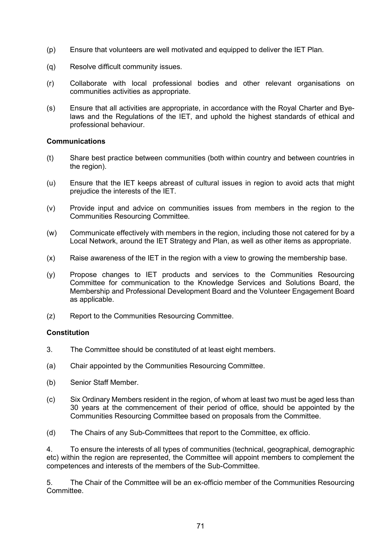- (p) Ensure that volunteers are well motivated and equipped to deliver the IET Plan.
- (q) Resolve difficult community issues.
- (r) Collaborate with local professional bodies and other relevant organisations on communities activities as appropriate.
- (s) Ensure that all activities are appropriate, in accordance with the Royal Charter and Byelaws and the Regulations of the IET, and uphold the highest standards of ethical and professional behaviour.

#### **Communications**

- (t) Share best practice between communities (both within country and between countries in the region).
- (u) Ensure that the IET keeps abreast of cultural issues in region to avoid acts that might prejudice the interests of the IET.
- (v) Provide input and advice on communities issues from members in the region to the Communities Resourcing Committee.
- (w) Communicate effectively with members in the region, including those not catered for by a Local Network, around the IET Strategy and Plan, as well as other items as appropriate.
- (x) Raise awareness of the IET in the region with a view to growing the membership base.
- (y) Propose changes to IET products and services to the Communities Resourcing Committee for communication to the Knowledge Services and Solutions Board, the Membership and Professional Development Board and the Volunteer Engagement Board as applicable.
- (z) Report to the Communities Resourcing Committee.

#### **Constitution**

- 3. The Committee should be constituted of at least eight members.
- (a) Chair appointed by the Communities Resourcing Committee.
- (b) Senior Staff Member.
- (c) Six Ordinary Members resident in the region, of whom at least two must be aged less than 30 years at the commencement of their period of office, should be appointed by the Communities Resourcing Committee based on proposals from the Committee.
- (d) The Chairs of any Sub-Committees that report to the Committee, ex officio.

4. To ensure the interests of all types of communities (technical, geographical, demographic etc) within the region are represented, the Committee will appoint members to complement the competences and interests of the members of the Sub-Committee.

5. The Chair of the Committee will be an ex-officio member of the Communities Resourcing Committee.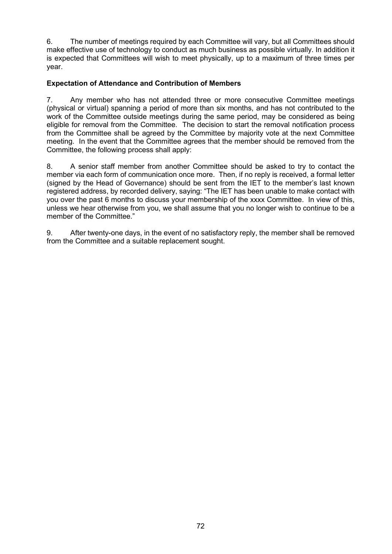6. The number of meetings required by each Committee will vary, but all Committees should make effective use of technology to conduct as much business as possible virtually. In addition it is expected that Committees will wish to meet physically, up to a maximum of three times per year.

# **Expectation of Attendance and Contribution of Members**

7. Any member who has not attended three or more consecutive Committee meetings (physical or virtual) spanning a period of more than six months, and has not contributed to the work of the Committee outside meetings during the same period, may be considered as being eligible for removal from the Committee. The decision to start the removal notification process from the Committee shall be agreed by the Committee by majority vote at the next Committee meeting. In the event that the Committee agrees that the member should be removed from the Committee, the following process shall apply:

8. A senior staff member from another Committee should be asked to try to contact the member via each form of communication once more. Then, if no reply is received, a formal letter (signed by the Head of Governance) should be sent from the IET to the member's last known registered address, by recorded delivery, saying: "The IET has been unable to make contact with you over the past 6 months to discuss your membership of the xxxx Committee. In view of this, unless we hear otherwise from you, we shall assume that you no longer wish to continue to be a member of the Committee."

9. After twenty-one days, in the event of no satisfactory reply, the member shall be removed from the Committee and a suitable replacement sought.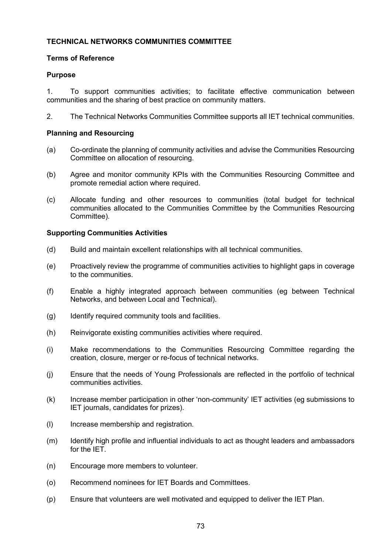# **TECHNICAL NETWORKS COMMUNITIES COMMITTEE**

### **Terms of Reference**

## **Purpose**

1. To support communities activities; to facilitate effective communication between communities and the sharing of best practice on community matters.

2. The Technical Networks Communities Committee supports all IET technical communities.

## **Planning and Resourcing**

- (a) Co-ordinate the planning of community activities and advise the Communities Resourcing Committee on allocation of resourcing.
- (b) Agree and monitor community KPIs with the Communities Resourcing Committee and promote remedial action where required.
- (c) Allocate funding and other resources to communities (total budget for technical communities allocated to the Communities Committee by the Communities Resourcing Committee).

### **Supporting Communities Activities**

- (d) Build and maintain excellent relationships with all technical communities.
- (e) Proactively review the programme of communities activities to highlight gaps in coverage to the communities.
- (f) Enable a highly integrated approach between communities (eg between Technical Networks, and between Local and Technical).
- (g) Identify required community tools and facilities.
- (h) Reinvigorate existing communities activities where required.
- (i) Make recommendations to the Communities Resourcing Committee regarding the creation, closure, merger or re-focus of technical networks.
- (j) Ensure that the needs of Young Professionals are reflected in the portfolio of technical communities activities.
- (k) Increase member participation in other 'non-community' IET activities (eg submissions to IET journals, candidates for prizes).
- (l) Increase membership and registration.
- (m) Identify high profile and influential individuals to act as thought leaders and ambassadors for the IET.
- (n) Encourage more members to volunteer.
- (o) Recommend nominees for IET Boards and Committees.
- (p) Ensure that volunteers are well motivated and equipped to deliver the IET Plan.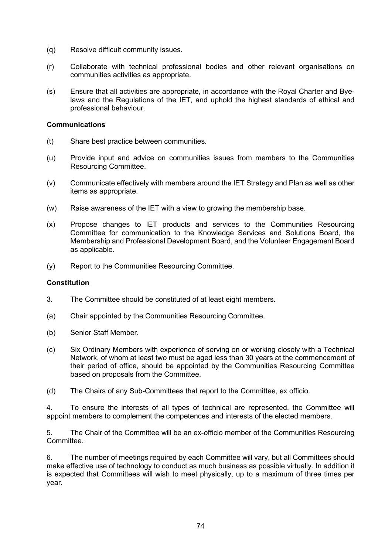- (q) Resolve difficult community issues.
- (r) Collaborate with technical professional bodies and other relevant organisations on communities activities as appropriate.
- (s) Ensure that all activities are appropriate, in accordance with the Royal Charter and Byelaws and the Regulations of the IET, and uphold the highest standards of ethical and professional behaviour.

#### **Communications**

- (t) Share best practice between communities.
- (u) Provide input and advice on communities issues from members to the Communities Resourcing Committee.
- (v) Communicate effectively with members around the IET Strategy and Plan as well as other items as appropriate.
- (w) Raise awareness of the IET with a view to growing the membership base.
- (x) Propose changes to IET products and services to the Communities Resourcing Committee for communication to the Knowledge Services and Solutions Board, the Membership and Professional Development Board, and the Volunteer Engagement Board as applicable.
- (y) Report to the Communities Resourcing Committee.

### **Constitution**

- 3. The Committee should be constituted of at least eight members.
- (a) Chair appointed by the Communities Resourcing Committee.
- (b) Senior Staff Member.
- (c) Six Ordinary Members with experience of serving on or working closely with a Technical Network, of whom at least two must be aged less than 30 years at the commencement of their period of office, should be appointed by the Communities Resourcing Committee based on proposals from the Committee.
- (d) The Chairs of any Sub-Committees that report to the Committee, ex officio.

4. To ensure the interests of all types of technical are represented, the Committee will appoint members to complement the competences and interests of the elected members.

5. The Chair of the Committee will be an ex-officio member of the Communities Resourcing Committee.

6. The number of meetings required by each Committee will vary, but all Committees should make effective use of technology to conduct as much business as possible virtually. In addition it is expected that Committees will wish to meet physically, up to a maximum of three times per year.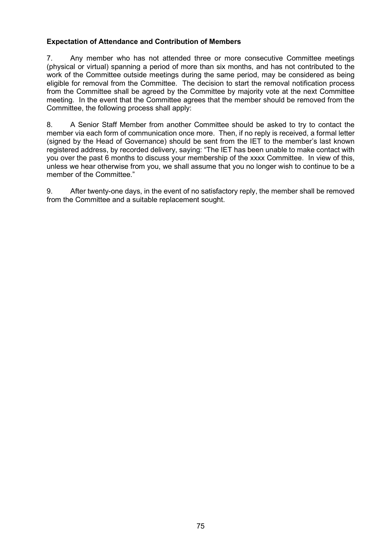# **Expectation of Attendance and Contribution of Members**

7. Any member who has not attended three or more consecutive Committee meetings (physical or virtual) spanning a period of more than six months, and has not contributed to the work of the Committee outside meetings during the same period, may be considered as being eligible for removal from the Committee. The decision to start the removal notification process from the Committee shall be agreed by the Committee by majority vote at the next Committee meeting. In the event that the Committee agrees that the member should be removed from the Committee, the following process shall apply:

8. A Senior Staff Member from another Committee should be asked to try to contact the member via each form of communication once more. Then, if no reply is received, a formal letter (signed by the Head of Governance) should be sent from the IET to the member's last known registered address, by recorded delivery, saying: "The IET has been unable to make contact with you over the past 6 months to discuss your membership of the xxxx Committee. In view of this, unless we hear otherwise from you, we shall assume that you no longer wish to continue to be a member of the Committee."

9. After twenty-one days, in the event of no satisfactory reply, the member shall be removed from the Committee and a suitable replacement sought.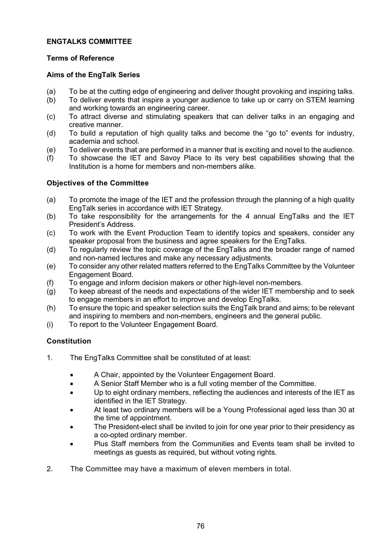# **ENGTALKS COMMITTEE**

# **Terms of Reference**

## **Aims of the EngTalk Series**

- (a) To be at the cutting edge of engineering and deliver thought provoking and inspiring talks.<br>(b) To deliver events that inspire a younger audience to take up or carry on STEM learning
- To deliver events that inspire a younger audience to take up or carry on STEM learning and working towards an engineering career.
- (c) To attract diverse and stimulating speakers that can deliver talks in an engaging and creative manner.
- (d) To build a reputation of high quality talks and become the "go to" events for industry, academia and school.
- (e) To deliver events that are performed in a manner that is exciting and novel to the audience.<br>(f) To showcase the IET and Savoy Place to its very best capabilities showing that the
- To showcase the IET and Savoy Place to its very best capabilities showing that the Institution is a home for members and non-members alike.

# **Objectives of the Committee**

- (a) To promote the image of the IET and the profession through the planning of a high quality EngTalk series in accordance with IET Strategy.
- (b) To take responsibility for the arrangements for the 4 annual EngTalks and the IET President's Address.
- (c) To work with the Event Production Team to identify topics and speakers, consider any speaker proposal from the business and agree speakers for the EngTalks.
- (d) To regularly review the topic coverage of the EngTalks and the broader range of named and non-named lectures and make any necessary adjustments.
- (e) To consider any other related matters referred to the EngTalks Committee by the Volunteer Engagement Board.
- (f) To engage and inform decision makers or other high-level non-members.
- (g) To keep abreast of the needs and expectations of the wider IET membership and to seek to engage members in an effort to improve and develop EngTalks.
- (h) To ensure the topic and speaker selection suits the EngTalk brand and aims; to be relevant and inspiring to members and non-members, engineers and the general public.
- (i) To report to the Volunteer Engagement Board.

# **Constitution**

- 1. The EngTalks Committee shall be constituted of at least:
	- A Chair, appointed by the Volunteer Engagement Board.
	- A Senior Staff Member who is a full voting member of the Committee.
	- Up to eight ordinary members, reflecting the audiences and interests of the IET as identified in the IET Strategy.
	- At least two ordinary members will be a Young Professional aged less than 30 at the time of appointment.
	- The President-elect shall be invited to join for one year prior to their presidency as a co-opted ordinary member.
	- Plus Staff members from the Communities and Events team shall be invited to meetings as guests as required, but without voting rights.
- 2. The Committee may have a maximum of eleven members in total.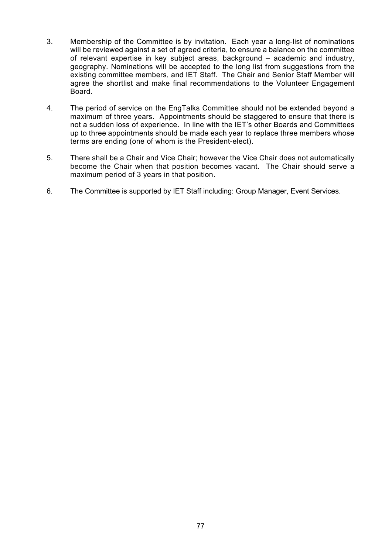- 3. Membership of the Committee is by invitation. Each year a long-list of nominations will be reviewed against a set of agreed criteria, to ensure a balance on the committee of relevant expertise in key subject areas, background – academic and industry, geography. Nominations will be accepted to the long list from suggestions from the existing committee members, and IET Staff. The Chair and Senior Staff Member will agree the shortlist and make final recommendations to the Volunteer Engagement Board.
- 4. The period of service on the EngTalks Committee should not be extended beyond a maximum of three years. Appointments should be staggered to ensure that there is not a sudden loss of experience. In line with the IET's other Boards and Committees up to three appointments should be made each year to replace three members whose terms are ending (one of whom is the President-elect).
- 5. There shall be a Chair and Vice Chair; however the Vice Chair does not automatically become the Chair when that position becomes vacant. The Chair should serve a maximum period of 3 years in that position.
- 6. The Committee is supported by IET Staff including: Group Manager, Event Services.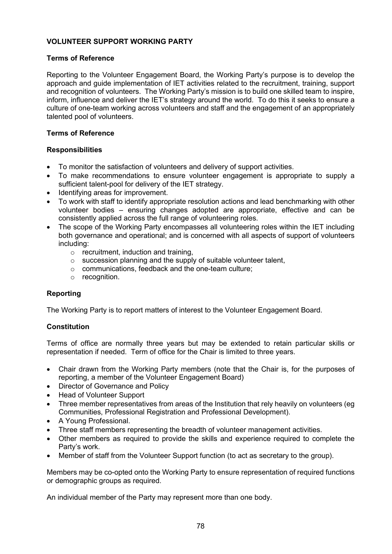# **VOLUNTEER SUPPORT WORKING PARTY**

### **Terms of Reference**

Reporting to the Volunteer Engagement Board, the Working Party's purpose is to develop the approach and guide implementation of IET activities related to the recruitment, training, support and recognition of volunteers. The Working Party's mission is to build one skilled team to inspire, inform, influence and deliver the IET's strategy around the world. To do this it seeks to ensure a culture of one-team working across volunteers and staff and the engagement of an appropriately talented pool of volunteers.

### **Terms of Reference**

#### **Responsibilities**

- To monitor the satisfaction of volunteers and delivery of support activities.
- To make recommendations to ensure volunteer engagement is appropriate to supply a sufficient talent-pool for delivery of the IET strategy.
- Identifying areas for improvement.
- To work with staff to identify appropriate resolution actions and lead benchmarking with other volunteer bodies – ensuring changes adopted are appropriate, effective and can be consistently applied across the full range of volunteering roles.
- The scope of the Working Party encompasses all volunteering roles within the IET including both governance and operational; and is concerned with all aspects of support of volunteers including:
	- $\circ$  recruitment, induction and training,
	- o succession planning and the supply of suitable volunteer talent,
	- o communications, feedback and the one-team culture;
	- o recognition.

### **Reporting**

The Working Party is to report matters of interest to the Volunteer Engagement Board.

### **Constitution**

Terms of office are normally three years but may be extended to retain particular skills or representation if needed. Term of office for the Chair is limited to three years.

- Chair drawn from the Working Party members (note that the Chair is, for the purposes of reporting, a member of the Volunteer Engagement Board)
- Director of Governance and Policy
- Head of Volunteer Support
- Three member representatives from areas of the Institution that rely heavily on volunteers (eg Communities, Professional Registration and Professional Development).
- A Young Professional.
- Three staff members representing the breadth of volunteer management activities.
- Other members as required to provide the skills and experience required to complete the Party's work.
- Member of staff from the Volunteer Support function (to act as secretary to the group).

Members may be co-opted onto the Working Party to ensure representation of required functions or demographic groups as required.

An individual member of the Party may represent more than one body.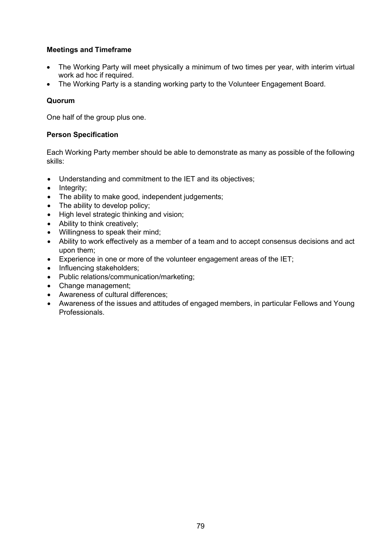# **Meetings and Timeframe**

- The Working Party will meet physically a minimum of two times per year, with interim virtual work ad hoc if required.
- The Working Party is a standing working party to the Volunteer Engagement Board.

# **Quorum**

One half of the group plus one.

## **Person Specification**

Each Working Party member should be able to demonstrate as many as possible of the following skills:

- Understanding and commitment to the IET and its objectives;
- Integrity;
- The ability to make good, independent judgements;
- The ability to develop policy;
- High level strategic thinking and vision;
- Ability to think creatively;
- Willingness to speak their mind;
- Ability to work effectively as a member of a team and to accept consensus decisions and act upon them;
- Experience in one or more of the volunteer engagement areas of the IET;
- Influencing stakeholders;
- Public relations/communication/marketing;
- Change management;
- Awareness of cultural differences;
- Awareness of the issues and attitudes of engaged members, in particular Fellows and Young Professionals.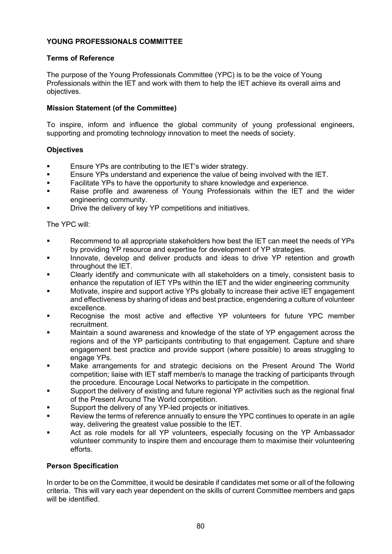# **YOUNG PROFESSIONALS COMMITTEE**

### **Terms of Reference**

The purpose of the Young Professionals Committee (YPC) is to be the voice of Young Professionals within the IET and work with them to help the IET achieve its overall aims and objectives.

## **Mission Statement (of the Committee)**

To inspire, inform and influence the global community of young professional engineers, supporting and promoting technology innovation to meet the needs of society.

### **Objectives**

- Ensure YPs are contributing to the IET's wider strategy.
- **Ensure YPs understand and experience the value of being involved with the IET.**<br>Eacilitate YPs to have the opportunity to share knowledge and experience
- Facilitate YPs to have the opportunity to share knowledge and experience.
- Raise profile and awareness of Young Professionals within the IET and the wider engineering community.
- Drive the delivery of key YP competitions and initiatives.

The YPC will:

- Recommend to all appropriate stakeholders how best the IET can meet the needs of YPs by providing YP resource and expertise for development of YP strategies.
- Innovate, develop and deliver products and ideas to drive YP retention and growth throughout the IET.
- Clearly identify and communicate with all stakeholders on a timely, consistent basis to enhance the reputation of IET YPs within the IET and the wider engineering community
- Motivate, inspire and support active YPs globally to increase their active IET engagement and effectiveness by sharing of ideas and best practice, engendering a culture of volunteer excellence.
- Recognise the most active and effective YP volunteers for future YPC member recruitment.
- Maintain a sound awareness and knowledge of the state of YP engagement across the regions and of the YP participants contributing to that engagement. Capture and share engagement best practice and provide support (where possible) to areas struggling to engage YPs.
- Make arrangements for and strategic decisions on the Present Around The World competition; liaise with IET staff member/s to manage the tracking of participants through the procedure. Encourage Local Networks to participate in the competition.
- Support the delivery of existing and future regional YP activities such as the regional final of the Present Around The World competition.
- Support the delivery of any YP-led projects or initiatives.
- Review the terms of reference annually to ensure the YPC continues to operate in an agile way, delivering the greatest value possible to the IET.
- Act as role models for all YP volunteers, especially focusing on the YP Ambassador volunteer community to inspire them and encourage them to maximise their volunteering efforts.

### **Person Specification**

In order to be on the Committee, it would be desirable if candidates met some or all of the following criteria. This will vary each year dependent on the skills of current Committee members and gaps will be identified.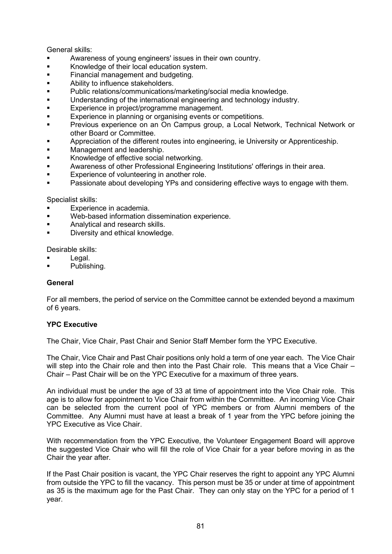### General skills:

- Awareness of young engineers' issues in their own country.
- **Knowledge of their local education system.**<br>**Example 1** Einancial management and budgeting
- **Financial management and budgeting.**<br>Ability to influence stakeholders.
- Ability to influence stakeholders.
- **Public relations/communications/marketing/social media knowledge.**<br>
I linderstanding of the international engineering and technology indus
- Understanding of the international engineering and technology industry.
- **Experience in project/programme management.**
- **Experience in planning or organising events or competitions.**
- **Previous experience on an On Campus group, a Local Network, Technical Network or** other Board or Committee.
- **Appreciation of the different routes into engineering, ie University or Apprenticeship.**
- **Management and leadership.**<br>Amenyledge of effective social
- Knowledge of effective social networking.
- Awareness of other Professional Engineering Institutions' offerings in their area.
- **Experience of volunteering in another role.**
- Passionate about developing YPs and considering effective ways to engage with them.

Specialist skills:

- **Experience in academia.**
- Web-based information dissemination experience.
- **Analytical and research skills.**
- **Diversity and ethical knowledge.**

Desirable skills:

- Legal.
- Publishing.

### **General**

For all members, the period of service on the Committee cannot be extended beyond a maximum of 6 years.

### **YPC Executive**

The Chair, Vice Chair, Past Chair and Senior Staff Member form the YPC Executive.

The Chair, Vice Chair and Past Chair positions only hold a term of one year each. The Vice Chair will step into the Chair role and then into the Past Chair role. This means that a Vice Chair – Chair – Past Chair will be on the YPC Executive for a maximum of three years.

An individual must be under the age of 33 at time of appointment into the Vice Chair role. This age is to allow for appointment to Vice Chair from within the Committee. An incoming Vice Chair can be selected from the current pool of YPC members or from Alumni members of the Committee. Any Alumni must have at least a break of 1 year from the YPC before joining the YPC Executive as Vice Chair.

With recommendation from the YPC Executive, the Volunteer Engagement Board will approve the suggested Vice Chair who will fill the role of Vice Chair for a year before moving in as the Chair the year after.

If the Past Chair position is vacant, the YPC Chair reserves the right to appoint any YPC Alumni from outside the YPC to fill the vacancy. This person must be 35 or under at time of appointment as 35 is the maximum age for the Past Chair. They can only stay on the YPC for a period of 1 year.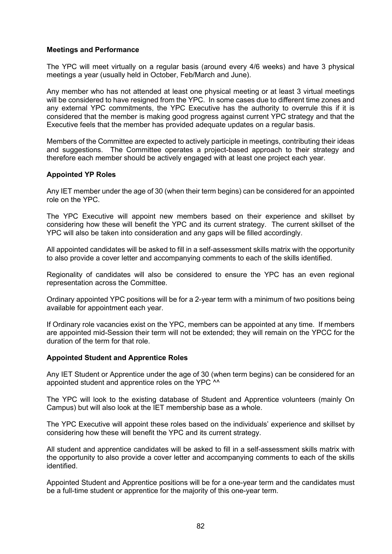### **Meetings and Performance**

The YPC will meet virtually on a regular basis (around every 4/6 weeks) and have 3 physical meetings a year (usually held in October, Feb/March and June).

Any member who has not attended at least one physical meeting or at least 3 virtual meetings will be considered to have resigned from the YPC. In some cases due to different time zones and any external YPC commitments, the YPC Executive has the authority to overrule this if it is considered that the member is making good progress against current YPC strategy and that the Executive feels that the member has provided adequate updates on a regular basis.

Members of the Committee are expected to actively participle in meetings, contributing their ideas and suggestions. The Committee operates a project-based approach to their strategy and therefore each member should be actively engaged with at least one project each year.

#### **Appointed YP Roles**

Any IET member under the age of 30 (when their term begins) can be considered for an appointed role on the YPC.

The YPC Executive will appoint new members based on their experience and skillset by considering how these will benefit the YPC and its current strategy. The current skillset of the YPC will also be taken into consideration and any gaps will be filled accordingly.

All appointed candidates will be asked to fill in a self-assessment skills matrix with the opportunity to also provide a cover letter and accompanying comments to each of the skills identified.

Regionality of candidates will also be considered to ensure the YPC has an even regional representation across the Committee.

Ordinary appointed YPC positions will be for a 2-year term with a minimum of two positions being available for appointment each year.

If Ordinary role vacancies exist on the YPC, members can be appointed at any time. If members are appointed mid-Session their term will not be extended; they will remain on the YPCC for the duration of the term for that role.

#### **Appointed Student and Apprentice Roles**

Any IET Student or Apprentice under the age of 30 (when term begins) can be considered for an appointed student and apprentice roles on the YPC ^^

The YPC will look to the existing database of Student and Apprentice volunteers (mainly On Campus) but will also look at the IET membership base as a whole.

The YPC Executive will appoint these roles based on the individuals' experience and skillset by considering how these will benefit the YPC and its current strategy.

All student and apprentice candidates will be asked to fill in a self-assessment skills matrix with the opportunity to also provide a cover letter and accompanying comments to each of the skills identified.

Appointed Student and Apprentice positions will be for a one-year term and the candidates must be a full-time student or apprentice for the majority of this one-year term.